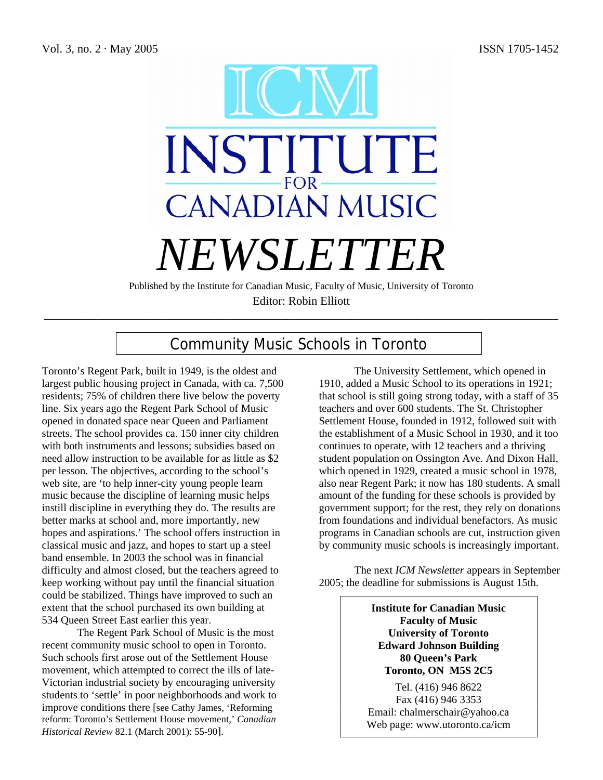

Published by the Institute for Canadian Music, Faculty of Music, University of Toronto Editor: Robin Elliott

\_\_\_\_\_\_\_\_\_\_\_\_\_\_\_\_\_\_\_\_\_\_\_\_\_\_\_\_\_\_\_\_\_\_\_\_\_\_\_\_\_\_\_\_\_\_\_\_\_\_\_\_\_\_\_\_\_\_\_\_\_\_\_\_\_\_\_\_\_\_\_\_\_\_\_\_\_\_\_\_\_\_\_\_\_\_\_

# Community Music Schools in Toronto

Toronto's Regent Park, built in 1949, is the oldest and largest public housing project in Canada, with ca. 7,500 residents; 75% of children there live below the poverty line. Six years ago the Regent Park School of Music opened in donated space near Queen and Parliament streets. The school provides ca. 150 inner city children with both instruments and lessons; subsidies based on need allow instruction to be available for as little as \$2 per lesson. The objectives, according to the school's web site, are 'to help inner-city young people learn music because the discipline of learning music helps instill discipline in everything they do. The results are better marks at school and, more importantly, new hopes and aspirations.' The school offers instruction in classical music and jazz, and hopes to start up a steel band ensemble. In 2003 the school was in financial difficulty and almost closed, but the teachers agreed to keep working without pay until the financial situation could be stabilized. Things have improved to such an extent that the school purchased its own building at 534 Queen Street East earlier this year.

The Regent Park School of Music is the most recent community music school to open in Toronto. Such schools first arose out of the Settlement House movement, which attempted to correct the ills of late-Victorian industrial society by encouraging university students to 'settle' in poor neighborhoods and work to improve conditions there [see Cathy James, 'Reforming reform: Toronto's Settlement House movement,' *Canadian Historical Review* 82.1 (March 2001): 55-90].

The University Settlement, which opened in 1910, added a Music School to its operations in 1921; that school is still going strong today, with a staff of 35 teachers and over 600 students. The St. Christopher Settlement House, founded in 1912, followed suit with the establishment of a Music School in 1930, and it too continues to operate, with 12 teachers and a thriving student population on Ossington Ave. And Dixon Hall, which opened in 1929, created a music school in 1978, also near Regent Park; it now has 180 students. A small amount of the funding for these schools is provided by government support; for the rest, they rely on donations from foundations and individual benefactors. As music programs in Canadian schools are cut, instruction given by community music schools is increasingly important.

The next *ICM Newsletter* appears in September 2005; the deadline for submissions is August 15th.

> **Institute for Canadian Music Faculty of Music University of Toronto Edward Johnson Building 80 Queen's Park Toronto, ON M5S 2C5**

Tel. (416) 946 8622 Fax (416) 946 3353 Email: chalmerschair@yahoo.ca Web page: www.utoronto.ca/icm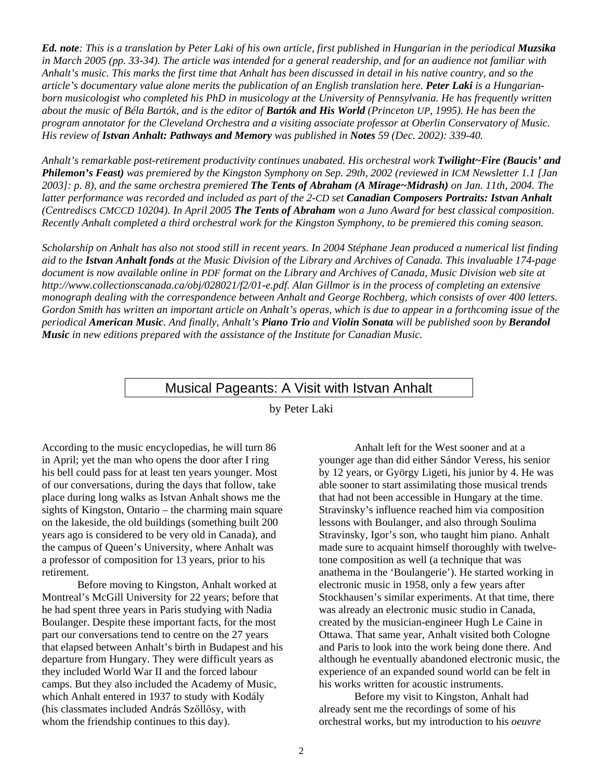*Ed. note: This is a translation by Peter Laki of his own article, first published in Hungarian in the periodical Muzsika in March 2005 (pp. 33-34). The article was intended for a general readership, and for an audience not familiar with Anhalt's music. This marks the first time that Anhalt has been discussed in detail in his native country, and so the article's documentary value alone merits the publication of an English translation here. Peter Laki is a Hungarianborn musicologist who completed his PhD in musicology at the University of Pennsylvania. He has frequently written about the music of Béla Bartók, and is the editor of Bartók and His World (Princeton UP, 1995). He has been the program annotator for the Cleveland Orchestra and a visiting associate professor at Oberlin Conservatory of Music. His review of Istvan Anhalt: Pathways and Memory was published in Notes 59 (Dec. 2002): 339-40.*

*Anhalt's remarkable post-retirement productivity continues unabated. His orchestral work Twilight~Fire (Baucis' and Philemon's Feast) was premiered by the Kingston Symphony on Sep. 29th, 2002 (reviewed in ICM Newsletter 1.1 [Jan 2003]: p. 8), and the same orchestra premiered The Tents of Abraham (A Mirage~Midrash) on Jan. 11th, 2004. The latter performance was recorded and included as part of the 2-CD set Canadian Composers Portraits: Istvan Anhalt (Centrediscs CMCCD 10204). In April 2005 The Tents of Abraham won a Juno Award for best classical composition. Recently Anhalt completed a third orchestral work for the Kingston Symphony, to be premiered this coming season.* 

*Scholarship on Anhalt has also not stood still in recent years. In 2004 Stéphane Jean produced a numerical list finding aid to the Istvan Anhalt fonds at the Music Division of the Library and Archives of Canada. This invaluable 174-page document is now available online in PDF format on the Library and Archives of Canada, Music Division web site at http://www.collectionscanada.ca/obj/028021/f2/01-e.pdf. Alan Gillmor is in the process of completing an extensive monograph dealing with the correspondence between Anhalt and George Rochberg, which consists of over 400 letters. Gordon Smith has written an important article on Anhalt's operas, which is due to appear in a forthcoming issue of the periodical American Music. And finally, Anhalt's Piano Trio and Violin Sonata will be published soon by Berandol Music in new editions prepared with the assistance of the Institute for Canadian Music.* 

## Musical Pageants: A Visit with Istvan Anhalt

by Peter Laki

According to the music encyclopedias, he will turn 86 in April; yet the man who opens the door after I ring his bell could pass for at least ten years younger. Most of our conversations, during the days that follow, take place during long walks as Istvan Anhalt shows me the sights of Kingston, Ontario – the charming main square on the lakeside, the old buildings (something built 200 years ago is considered to be very old in Canada), and the campus of Queen's University, where Anhalt was a professor of composition for 13 years, prior to his retirement.

Before moving to Kingston, Anhalt worked at Montreal's McGill University for 22 years; before that he had spent three years in Paris studying with Nadia Boulanger. Despite these important facts, for the most part our conversations tend to centre on the 27 years that elapsed between Anhalt's birth in Budapest and his departure from Hungary. They were difficult years as they included World War II and the forced labour camps. But they also included the Academy of Music, which Anhalt entered in 1937 to study with Kodály (his classmates included András Szőllősy, with whom the friendship continues to this day).

Anhalt left for the West sooner and at a younger age than did either Sándor Veress, his senior by 12 years, or György Ligeti, his junior by 4. He was able sooner to start assimilating those musical trends that had not been accessible in Hungary at the time. Stravinsky's influence reached him via composition lessons with Boulanger, and also through Soulima Stravinsky, Igor's son, who taught him piano. Anhalt made sure to acquaint himself thoroughly with twelvetone composition as well (a technique that was anathema in the 'Boulangerie'). He started working in electronic music in 1958, only a few years after Stockhausen's similar experiments. At that time, there was already an electronic music studio in Canada, created by the musician-engineer Hugh Le Caine in Ottawa. That same year, Anhalt visited both Cologne and Paris to look into the work being done there. And although he eventually abandoned electronic music, the experience of an expanded sound world can be felt in his works written for acoustic instruments.

Before my visit to Kingston, Anhalt had already sent me the recordings of some of his orchestral works, but my introduction to his *oeuvre*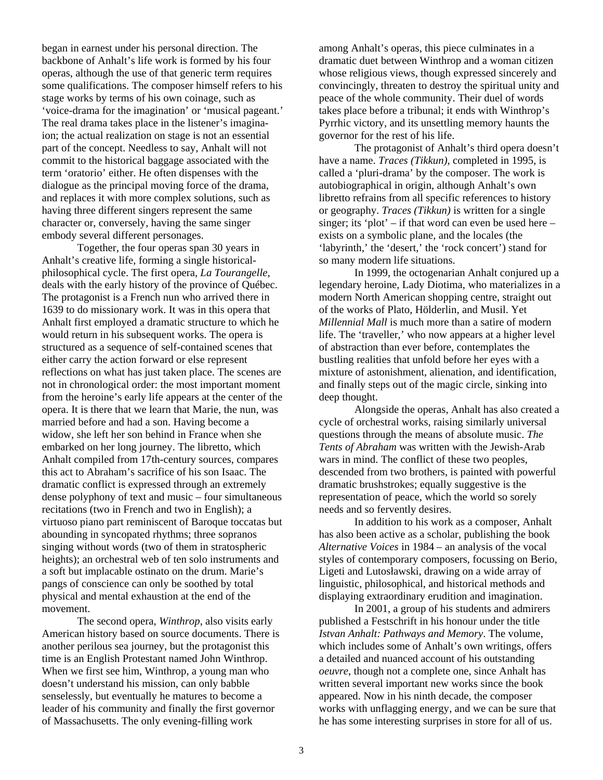began in earnest under his personal direction. The backbone of Anhalt's life work is formed by his four operas, although the use of that generic term requires some qualifications. The composer himself refers to his stage works by terms of his own coinage, such as 'voice-drama for the imagination' or 'musical pageant.' The real drama takes place in the listener's imaginaion; the actual realization on stage is not an essential part of the concept. Needless to say, Anhalt will not commit to the historical baggage associated with the term 'oratorio' either. He often dispenses with the dialogue as the principal moving force of the drama, and replaces it with more complex solutions, such as having three different singers represent the same character or, conversely, having the same singer embody several different personages.

Together, the four operas span 30 years in Anhalt's creative life, forming a single historicalphilosophical cycle. The first opera, *La Tourangelle*, deals with the early history of the province of Québec. The protagonist is a French nun who arrived there in 1639 to do missionary work. It was in this opera that Anhalt first employed a dramatic structure to which he would return in his subsequent works. The opera is structured as a sequence of self-contained scenes that either carry the action forward or else represent reflections on what has just taken place. The scenes are not in chronological order: the most important moment from the heroine's early life appears at the center of the opera. It is there that we learn that Marie, the nun, was married before and had a son. Having become a widow, she left her son behind in France when she embarked on her long journey. The libretto, which Anhalt compiled from 17th-century sources, compares this act to Abraham's sacrifice of his son Isaac. The dramatic conflict is expressed through an extremely dense polyphony of text and music – four simultaneous recitations (two in French and two in English); a virtuoso piano part reminiscent of Baroque toccatas but abounding in syncopated rhythms; three sopranos singing without words (two of them in stratospheric heights); an orchestral web of ten solo instruments and a soft but implacable ostinato on the drum. Marie's pangs of conscience can only be soothed by total physical and mental exhaustion at the end of the movement.

The second opera, *Winthrop*, also visits early American history based on source documents. There is another perilous sea journey, but the protagonist this time is an English Protestant named John Winthrop. When we first see him, Winthrop, a young man who doesn't understand his mission, can only babble senselessly, but eventually he matures to become a leader of his community and finally the first governor of Massachusetts. The only evening-filling work

among Anhalt's operas, this piece culminates in a dramatic duet between Winthrop and a woman citizen whose religious views, though expressed sincerely and convincingly, threaten to destroy the spiritual unity and peace of the whole community. Their duel of words takes place before a tribunal; it ends with Winthrop's Pyrrhic victory, and its unsettling memory haunts the governor for the rest of his life.

The protagonist of Anhalt's third opera doesn't have a name. *Traces (Tikkun)*, completed in 1995, is called a 'pluri-drama' by the composer. The work is autobiographical in origin, although Anhalt's own libretto refrains from all specific references to history or geography. *Traces (Tikkun)* is written for a single singer; its 'plot' – if that word can even be used here – exists on a symbolic plane, and the locales (the 'labyrinth,' the 'desert,' the 'rock concert') stand for so many modern life situations.

In 1999, the octogenarian Anhalt conjured up a legendary heroine, Lady Diotima, who materializes in a modern North American shopping centre, straight out of the works of Plato, Hölderlin, and Musil. Yet *Millennial Mall* is much more than a satire of modern life. The 'traveller,' who now appears at a higher level of abstraction than ever before, contemplates the bustling realities that unfold before her eyes with a mixture of astonishment, alienation, and identification, and finally steps out of the magic circle, sinking into deep thought.

Alongside the operas, Anhalt has also created a cycle of orchestral works, raising similarly universal questions through the means of absolute music. *The Tents of Abraham* was written with the Jewish-Arab wars in mind. The conflict of these two peoples, descended from two brothers, is painted with powerful dramatic brushstrokes; equally suggestive is the representation of peace, which the world so sorely needs and so fervently desires.

In addition to his work as a composer, Anhalt has also been active as a scholar, publishing the book *Alternative Voices* in 1984 – an analysis of the vocal styles of contemporary composers, focussing on Berio, Ligeti and Lutosławski, drawing on a wide array of linguistic, philosophical, and historical methods and displaying extraordinary erudition and imagination.

In 2001, a group of his students and admirers published a Festschrift in his honour under the title *Istvan Anhalt: Pathways and Memory*. The volume, which includes some of Anhalt's own writings, offers a detailed and nuanced account of his outstanding *oeuvre*, though not a complete one, since Anhalt has written several important new works since the book appeared. Now in his ninth decade, the composer works with unflagging energy, and we can be sure that he has some interesting surprises in store for all of us.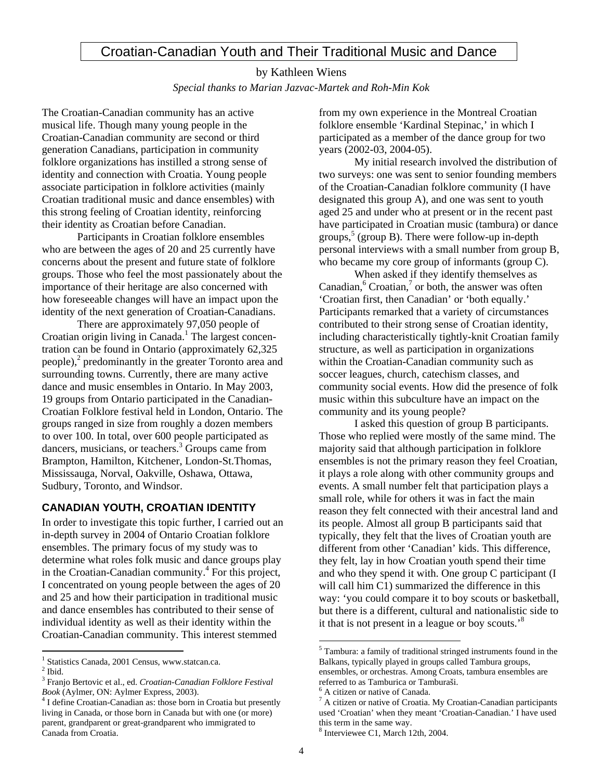## Croatian-Canadian Youth and Their Traditional Music and Dance

by Kathleen Wiens *Special thanks to Marian Jazvac-Martek and Roh-Min Kok* 

The Croatian-Canadian community has an active musical life. Though many young people in the Croatian-Canadian community are second or third generation Canadians, participation in community folklore organizations has instilled a strong sense of identity and connection with Croatia. Young people associate participation in folklore activities (mainly Croatian traditional music and dance ensembles) with this strong feeling of Croatian identity, reinforcing their identity as Croatian before Canadian.

Participants in Croatian folklore ensembles who are between the ages of 20 and 25 currently have concerns about the present and future state of folklore groups. Those who feel the most passionately about the importance of their heritage are also concerned with how foreseeable changes will have an impact upon the identity of the next generation of Croatian-Canadians.

There are approximately 97,050 people of Croatian origin living in Canada.<sup>1</sup> The largest concentration can be found in Ontario (approximately 62,325 people), $^2$  predominantly in the greater Toronto area and surrounding towns. Currently, there are many active dance and music ensembles in Ontario. In May 2003, 19 groups from Ontario participated in the Canadian-Croatian Folklore festival held in London, Ontario. The groups ranged in size from roughly a dozen members to over 100. In total, over 600 people participated as dancers, musicians, or teachers.<sup>3</sup> Groups came from Brampton, Hamilton, Kitchener, London-St.Thomas, Mississauga, Norval, Oakville, Oshawa, Ottawa, Sudbury, Toronto, and Windsor.

## **CANADIAN YOUTH, CROATIAN IDENTITY**

In order to investigate this topic further, I carried out an in-depth survey in 2004 of Ontario Croatian folklore ensembles. The primary focus of my study was to determine what roles folk music and dance groups play in the Croatian-Canadian community. 4 For this project, I concentrated on young people between the ages of 20 and 25 and how their participation in traditional music and dance ensembles has contributed to their sense of individual identity as well as their identity within the Croatian-Canadian community. This interest stemmed

1 Statistics Canada, 2001 Census, www.statcan.ca. 2

 $\overline{a}$ 

from my own experience in the Montreal Croatian folklore ensemble 'Kardinal Stepinac,' in which I participated as a member of the dance group for two years (2002-03, 2004-05).

My initial research involved the distribution of two surveys: one was sent to senior founding members of the Croatian-Canadian folklore community (I have designated this group A), and one was sent to youth aged 25 and under who at present or in the recent past have participated in Croatian music (tambura) or dance groups,<sup>5</sup> (group B). There were follow-up in-depth personal interviews with a small number from group B, who became my core group of informants (group C).

When asked if they identify themselves as Canadian, $6$  Croatian, $7$  or both, the answer was often 'Croatian first, then Canadian' or 'both equally.' Participants remarked that a variety of circumstances contributed to their strong sense of Croatian identity, including characteristically tightly-knit Croatian family structure, as well as participation in organizations within the Croatian-Canadian community such as soccer leagues, church, catechism classes, and community social events. How did the presence of folk music within this subculture have an impact on the community and its young people?

I asked this question of group B participants. Those who replied were mostly of the same mind. The majority said that although participation in folklore ensembles is not the primary reason they feel Croatian, it plays a role along with other community groups and events. A small number felt that participation plays a small role, while for others it was in fact the main reason they felt connected with their ancestral land and its people. Almost all group B participants said that typically, they felt that the lives of Croatian youth are different from other 'Canadian' kids. This difference, they felt, lay in how Croatian youth spend their time and who they spend it with. One group C participant (I will call him C1) summarized the difference in this way: 'you could compare it to boy scouts or basketball, but there is a different, cultural and nationalistic side to it that is not present in a league or boy scouts. $\cdot$ <sup>8</sup>

 $2$  Ibid.

<sup>3</sup> Franjo Bertovic et al., ed. *Croatian-Canadian Folklore Festival Book* (Aylmer, ON: Aylmer Express, 2003).

<sup>&</sup>lt;sup>4</sup> I define Croatian-Canadian as: those born in Croatia but presently living in Canada, or those born in Canada but with one (or more) parent, grandparent or great-grandparent who immigrated to Canada from Croatia.

<sup>&</sup>lt;sup>5</sup> Tambura: a family of traditional stringed instruments found in the Balkans, typically played in groups called Tambura groups, ensembles, or orchestras. Among Croats, tambura ensembles are referred to as Tamburica or Tamburaši. 6

 $6$  A citizen or native of Canada.

 $^7$  A citizen or native of Croatia. My Croatian-Canadian participants used 'Croatian' when they meant 'Croatian-Canadian.' I have used this term in the same way.

 $8$  Interviewee C1, March 12th, 2004.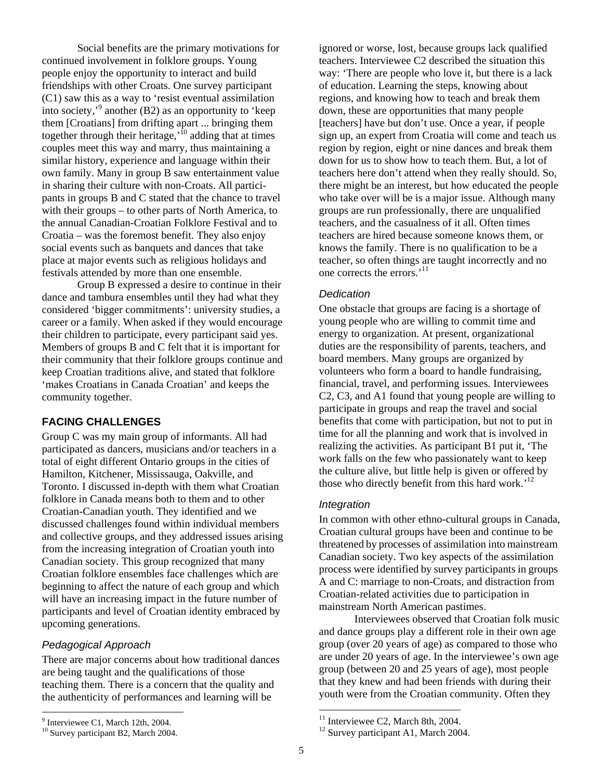Social benefits are the primary motivations for continued involvement in folklore groups. Young people enjoy the opportunity to interact and build friendships with other Croats. One survey participant (C1) saw this as a way to 'resist eventual assimilation into society,' 9 another (B2) as an opportunity to 'keep them [Croatians] from drifting apart ... bringing them together through their heritage, $\frac{1}{10}$  adding that at times couples meet this way and marry, thus maintaining a similar history, experience and language within their own family. Many in group B saw entertainment value in sharing their culture with non-Croats. All participants in groups B and C stated that the chance to travel with their groups – to other parts of North America, to the annual Canadian-Croatian Folklore Festival and to Croatia – was the foremost benefit. They also enjoy social events such as banquets and dances that take place at major events such as religious holidays and festivals attended by more than one ensemble.

Group B expressed a desire to continue in their dance and tambura ensembles until they had what they considered 'bigger commitments': university studies, a career or a family. When asked if they would encourage their children to participate, every participant said yes. Members of groups B and C felt that it is important for their community that their folklore groups continue and keep Croatian traditions alive, and stated that folklore 'makes Croatians in Canada Croatian' and keeps the community together.

## **FACING CHALLENGES**

Group C was my main group of informants. All had participated as dancers, musicians and/or teachers in a total of eight different Ontario groups in the cities of Hamilton, Kitchener, Mississauga, Oakville, and Toronto. I discussed in-depth with them what Croatian folklore in Canada means both to them and to other Croatian-Canadian youth. They identified and we discussed challenges found within individual members and collective groups, and they addressed issues arising from the increasing integration of Croatian youth into Canadian society. This group recognized that many Croatian folklore ensembles face challenges which are beginning to affect the nature of each group and which will have an increasing impact in the future number of participants and level of Croatian identity embraced by upcoming generations.

## *Pedagogical Approach*

There are major concerns about how traditional dances are being taught and the qualifications of those teaching them. There is a concern that the quality and the authenticity of performances and learning will be

ignored or worse, lost, because groups lack qualified teachers. Interviewee C2 described the situation this way: 'There are people who love it, but there is a lack of education. Learning the steps, knowing about regions, and knowing how to teach and break them down, these are opportunities that many people [teachers] have but don't use. Once a year, if people sign up, an expert from Croatia will come and teach us region by region, eight or nine dances and break them down for us to show how to teach them. But, a lot of teachers here don't attend when they really should. So, there might be an interest, but how educated the people who take over will be is a major issue. Although many groups are run professionally, there are unqualified teachers, and the casualness of it all. Often times teachers are hired because someone knows them, or knows the family. There is no qualification to be a teacher, so often things are taught incorrectly and no one corrects the errors.<sup>'11</sup>

#### *Dedication*

One obstacle that groups are facing is a shortage of young people who are willing to commit time and energy to organization. At present, organizational duties are the responsibility of parents, teachers, and board members. Many groups are organized by volunteers who form a board to handle fundraising, financial, travel, and performing issues. Interviewees C2, C3, and A1 found that young people are willing to participate in groups and reap the travel and social benefits that come with participation, but not to put in time for all the planning and work that is involved in realizing the activities. As participant B1 put it, 'The work falls on the few who passionately want to keep the culture alive, but little help is given or offered by those who directly benefit from this hard work.<sup>'12</sup>

#### *Integration*

In common with other ethno-cultural groups in Canada, Croatian cultural groups have been and continue to be threatened by processes of assimilation into mainstream Canadian society. Two key aspects of the assimilation process were identified by survey participants in groups A and C: marriage to non-Croats, and distraction from Croatian-related activities due to participation in mainstream North American pastimes.

Interviewees observed that Croatian folk music and dance groups play a different role in their own age group (over 20 years of age) as compared to those who are under 20 years of age. In the interviewee's own age group (between 20 and 25 years of age), most people that they knew and had been friends with during their youth were from the Croatian community. Often they

<sup>-&</sup>lt;br>9

<sup>&</sup>lt;sup>9</sup> Interviewee C1, March 12th, 2004.<br><sup>10</sup> Survey participant B2, March 2004.

<sup>&</sup>lt;sup>11</sup> Interviewee C2, March 8th, 2004.<br><sup>12</sup> Survey participant A1, March 2004.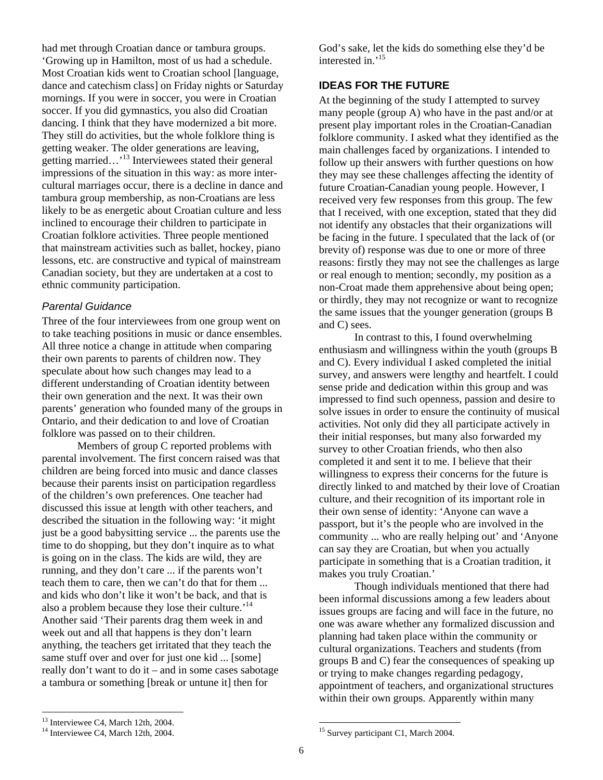had met through Croatian dance or tambura groups. 'Growing up in Hamilton, most of us had a schedule. Most Croatian kids went to Croatian school [language, dance and catechism class] on Friday nights or Saturday mornings. If you were in soccer, you were in Croatian soccer. If you did gymnastics, you also did Croatian dancing. I think that they have modernized a bit more. They still do activities, but the whole folklore thing is getting weaker. The older generations are leaving, getting married…'13 Interviewees stated their general impressions of the situation in this way: as more intercultural marriages occur, there is a decline in dance and tambura group membership, as non-Croatians are less likely to be as energetic about Croatian culture and less inclined to encourage their children to participate in Croatian folklore activities. Three people mentioned that mainstream activities such as ballet, hockey, piano lessons, etc. are constructive and typical of mainstream Canadian society, but they are undertaken at a cost to ethnic community participation.

## *Parental Guidance*

Three of the four interviewees from one group went on to take teaching positions in music or dance ensembles. All three notice a change in attitude when comparing their own parents to parents of children now. They speculate about how such changes may lead to a different understanding of Croatian identity between their own generation and the next. It was their own parents' generation who founded many of the groups in Ontario, and their dedication to and love of Croatian folklore was passed on to their children.

Members of group C reported problems with parental involvement. The first concern raised was that children are being forced into music and dance classes because their parents insist on participation regardless of the children's own preferences. One teacher had discussed this issue at length with other teachers, and described the situation in the following way: 'it might just be a good babysitting service ... the parents use the time to do shopping, but they don't inquire as to what is going on in the class. The kids are wild, they are running, and they don't care ... if the parents won't teach them to care, then we can't do that for them ... and kids who don't like it won't be back, and that is also a problem because they lose their culture.<sup>'14</sup> Another said 'Their parents drag them week in and week out and all that happens is they don't learn anything, the teachers get irritated that they teach the same stuff over and over for just one kid ... [some] really don't want to do it – and in some cases sabotage a tambura or something [break or untune it] then for

God's sake, let the kids do something else they'd be interested in.'15

## **IDEAS FOR THE FUTURE**

At the beginning of the study I attempted to survey many people (group A) who have in the past and/or at present play important roles in the Croatian-Canadian folklore community. I asked what they identified as the main challenges faced by organizations. I intended to follow up their answers with further questions on how they may see these challenges affecting the identity of future Croatian-Canadian young people. However, I received very few responses from this group. The few that I received, with one exception, stated that they did not identify any obstacles that their organizations will be facing in the future. I speculated that the lack of (or brevity of) response was due to one or more of three reasons: firstly they may not see the challenges as large or real enough to mention; secondly, my position as a non-Croat made them apprehensive about being open; or thirdly, they may not recognize or want to recognize the same issues that the younger generation (groups B and C) sees.

In contrast to this, I found overwhelming enthusiasm and willingness within the youth (groups B and C). Every individual I asked completed the initial survey, and answers were lengthy and heartfelt. I could sense pride and dedication within this group and was impressed to find such openness, passion and desire to solve issues in order to ensure the continuity of musical activities. Not only did they all participate actively in their initial responses, but many also forwarded my survey to other Croatian friends, who then also completed it and sent it to me. I believe that their willingness to express their concerns for the future is directly linked to and matched by their love of Croatian culture, and their recognition of its important role in their own sense of identity: 'Anyone can wave a passport, but it's the people who are involved in the community ... who are really helping out' and 'Anyone can say they are Croatian, but when you actually participate in something that is a Croatian tradition, it makes you truly Croatian.'

Though individuals mentioned that there had been informal discussions among a few leaders about issues groups are facing and will face in the future, no one was aware whether any formalized discussion and planning had taken place within the community or cultural organizations. Teachers and students (from groups B and C) fear the consequences of speaking up or trying to make changes regarding pedagogy, appointment of teachers, and organizational structures within their own groups. Apparently within many

<sup>&</sup>lt;sup>13</sup> Interviewee C4, March 12th, 2004.<br><sup>14</sup> Interviewee C4, March 12th, 2004.

<sup>&</sup>lt;sup>15</sup> Survey participant C1, March 2004.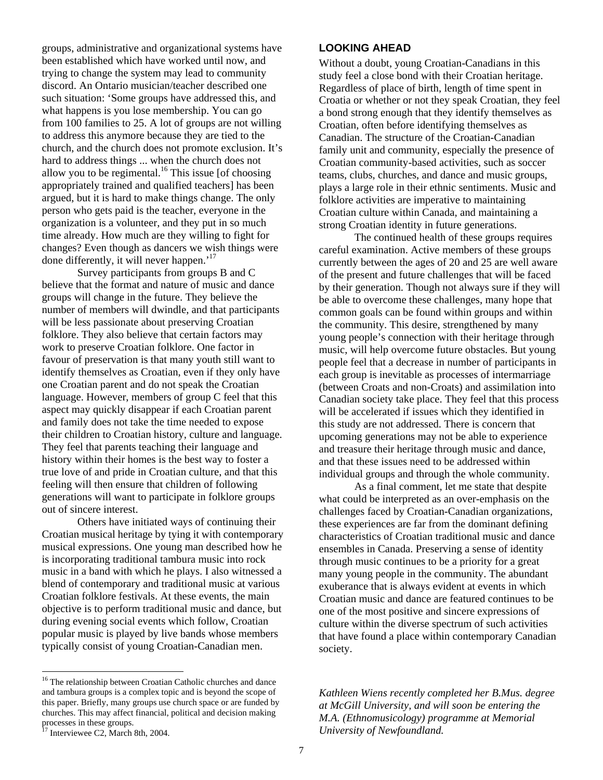groups, administrative and organizational systems have been established which have worked until now, and trying to change the system may lead to community discord. An Ontario musician/teacher described one such situation: 'Some groups have addressed this, and what happens is you lose membership. You can go from 100 families to 25. A lot of groups are not willing to address this anymore because they are tied to the church, and the church does not promote exclusion. It's hard to address things ... when the church does not allow you to be regimental.<sup>16</sup> This issue [of choosing appropriately trained and qualified teachers] has been argued, but it is hard to make things change. The only person who gets paid is the teacher, everyone in the organization is a volunteer, and they put in so much time already. How much are they willing to fight for changes? Even though as dancers we wish things were done differently, it will never happen.'<sup>17</sup>

Survey participants from groups B and C believe that the format and nature of music and dance groups will change in the future. They believe the number of members will dwindle, and that participants will be less passionate about preserving Croatian folklore. They also believe that certain factors may work to preserve Croatian folklore. One factor in favour of preservation is that many youth still want to identify themselves as Croatian, even if they only have one Croatian parent and do not speak the Croatian language. However, members of group C feel that this aspect may quickly disappear if each Croatian parent and family does not take the time needed to expose their children to Croatian history, culture and language. They feel that parents teaching their language and history within their homes is the best way to foster a true love of and pride in Croatian culture, and that this feeling will then ensure that children of following generations will want to participate in folklore groups out of sincere interest.

Others have initiated ways of continuing their Croatian musical heritage by tying it with contemporary musical expressions. One young man described how he is incorporating traditional tambura music into rock music in a band with which he plays. I also witnessed a blend of contemporary and traditional music at various Croatian folklore festivals. At these events, the main objective is to perform traditional music and dance, but during evening social events which follow, Croatian popular music is played by live bands whose members typically consist of young Croatian-Canadian men.

<sup>16</sup> The relationship between Croatian Catholic churches and dance and tambura groups is a complex topic and is beyond the scope of this paper. Briefly, many groups use church space or are funded by churches. This may affect financial, political and decision making processes in these groups.<br><sup>17</sup> Interviewee C2, March 8th, 2004.

 $\overline{a}$ 

#### **LOOKING AHEAD**

Without a doubt, young Croatian-Canadians in this study feel a close bond with their Croatian heritage. Regardless of place of birth, length of time spent in Croatia or whether or not they speak Croatian, they feel a bond strong enough that they identify themselves as Croatian, often before identifying themselves as Canadian. The structure of the Croatian-Canadian family unit and community, especially the presence of Croatian community-based activities, such as soccer teams, clubs, churches, and dance and music groups, plays a large role in their ethnic sentiments. Music and folklore activities are imperative to maintaining Croatian culture within Canada, and maintaining a strong Croatian identity in future generations.

The continued health of these groups requires careful examination. Active members of these groups currently between the ages of 20 and 25 are well aware of the present and future challenges that will be faced by their generation. Though not always sure if they will be able to overcome these challenges, many hope that common goals can be found within groups and within the community. This desire, strengthened by many young people's connection with their heritage through music, will help overcome future obstacles. But young people feel that a decrease in number of participants in each group is inevitable as processes of intermarriage (between Croats and non-Croats) and assimilation into Canadian society take place. They feel that this process will be accelerated if issues which they identified in this study are not addressed. There is concern that upcoming generations may not be able to experience and treasure their heritage through music and dance, and that these issues need to be addressed within individual groups and through the whole community.

As a final comment, let me state that despite what could be interpreted as an over-emphasis on the challenges faced by Croatian-Canadian organizations, these experiences are far from the dominant defining characteristics of Croatian traditional music and dance ensembles in Canada. Preserving a sense of identity through music continues to be a priority for a great many young people in the community. The abundant exuberance that is always evident at events in which Croatian music and dance are featured continues to be one of the most positive and sincere expressions of culture within the diverse spectrum of such activities that have found a place within contemporary Canadian society.

*Kathleen Wiens recently completed her B.Mus. degree at McGill University, and will soon be entering the M.A. (Ethnomusicology) programme at Memorial University of Newfoundland.*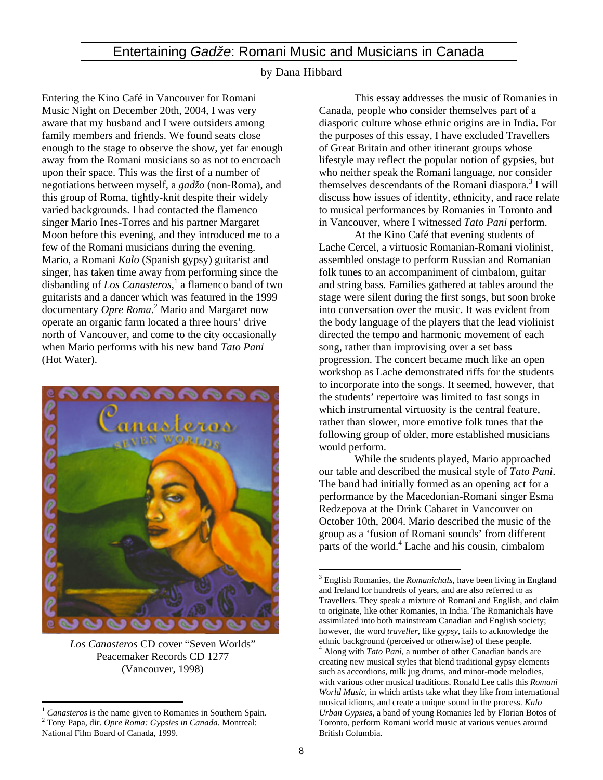## Entertaining *Gadže*: Romani Music and Musicians in Canada

#### by Dana Hibbard

Entering the Kino Café in Vancouver for Romani Music Night on December 20th, 2004, I was very aware that my husband and I were outsiders among family members and friends. We found seats close enough to the stage to observe the show, yet far enough away from the Romani musicians so as not to encroach upon their space. This was the first of a number of negotiations between myself, a *gadžo* (non-Roma), and this group of Roma, tightly-knit despite their widely varied backgrounds. I had contacted the flamenco singer Mario Ines-Torres and his partner Margaret Moon before this evening, and they introduced me to a few of the Romani musicians during the evening. Mario, a Romani *Kalo* (Spanish gypsy) guitarist and singer, has taken time away from performing since the disbanding of Los Canasteros,<sup>1</sup> a flamenco band of two guitarists and a dancer which was featured in the 1999 documentary *Opre Roma*. 2 Mario and Margaret now operate an organic farm located a three hours' drive north of Vancouver, and come to the city occasionally when Mario performs with his new band *Tato Pani*  (Hot Water).



*Los Canasteros* CD cover "Seven Worlds" Peacemaker Records CD 1277 (Vancouver, 1998)

 $\overline{a}$ 

This essay addresses the music of Romanies in Canada, people who consider themselves part of a diasporic culture whose ethnic origins are in India. For the purposes of this essay, I have excluded Travellers of Great Britain and other itinerant groups whose lifestyle may reflect the popular notion of gypsies, but who neither speak the Romani language, nor consider themselves descendants of the Romani diaspora.<sup>3</sup> I will discuss how issues of identity, ethnicity, and race relate to musical performances by Romanies in Toronto and in Vancouver, where I witnessed *Tato Pani* perform.

At the Kino Café that evening students of Lache Cercel, a virtuosic Romanian-Romani violinist, assembled onstage to perform Russian and Romanian folk tunes to an accompaniment of cimbalom, guitar and string bass. Families gathered at tables around the stage were silent during the first songs, but soon broke into conversation over the music. It was evident from the body language of the players that the lead violinist directed the tempo and harmonic movement of each song, rather than improvising over a set bass progression. The concert became much like an open workshop as Lache demonstrated riffs for the students to incorporate into the songs. It seemed, however, that the students' repertoire was limited to fast songs in which instrumental virtuosity is the central feature, rather than slower, more emotive folk tunes that the following group of older, more established musicians would perform.

While the students played, Mario approached our table and described the musical style of *Tato Pani*. The band had initially formed as an opening act for a performance by the Macedonian-Romani singer Esma Redzepova at the Drink Cabaret in Vancouver on October 10th, 2004. Mario described the music of the group as a 'fusion of Romani sounds' from different parts of the world.<sup>4</sup> Lache and his cousin, cimbalom

*Canasteros* is the name given to Romanies in Southern Spain. Tony Papa, dir. *Opre Roma: Gypsies in Canada*. Montreal: National Film Board of Canada, 1999.

<sup>3</sup> English Romanies, the *Romanichals,* have been living in England and Ireland for hundreds of years, and are also referred to as Travellers. They speak a mixture of Romani and English, and claim to originate, like other Romanies, in India. The Romanichals have assimilated into both mainstream Canadian and English society; however, the word *traveller,* like *gypsy,* fails to acknowledge the ethnic background (perceived or otherwise) of these people. 4 Along with *Tato Pani*, a number of other Canadian bands are creating new musical styles that blend traditional gypsy elements such as accordions, milk jug drums, and minor-mode melodies, with various other musical traditions. Ronald Lee calls this *Romani World Music,* in which artists take what they like from international musical idioms, and create a unique sound in the process. *Kalo Urban Gypsies*, a band of young Romanies led by Florian Botos of Toronto, perform Romani world music at various venues around British Columbia.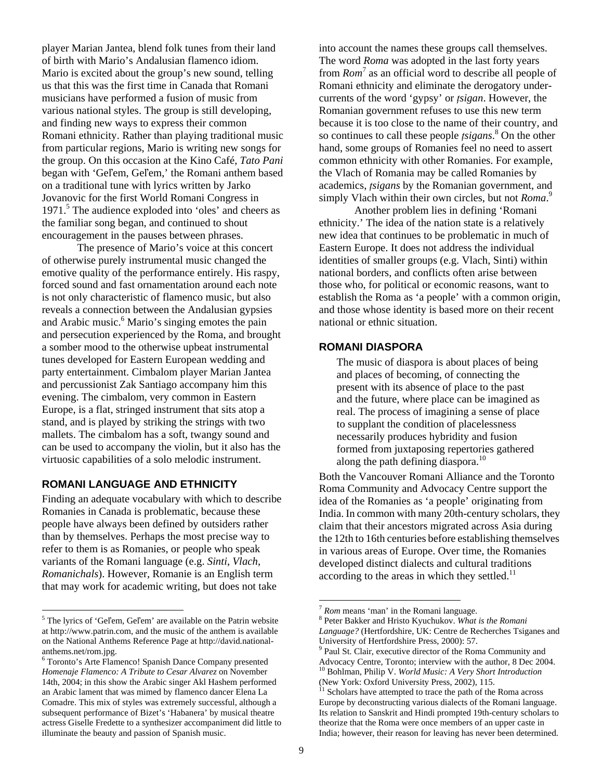player Marian Jantea, blend folk tunes from their land of birth with Mario's Andalusian flamenco idiom. Mario is excited about the group's new sound, telling us that this was the first time in Canada that Romani musicians have performed a fusion of music from various national styles. The group is still developing, and finding new ways to express their common Romani ethnicity. Rather than playing traditional music from particular regions, Mario is writing new songs for the group. On this occasion at the Kino Café, *Tato Pani* began with 'Geľem, Geľem,' the Romani anthem based on a traditional tune with lyrics written by Jarko Jovanovic for the first World Romani Congress in 1971. 5 The audience exploded into 'oles' and cheers as the familiar song began, and continued to shout encouragement in the pauses between phrases.

The presence of Mario's voice at this concert of otherwise purely instrumental music changed the emotive quality of the performance entirely. His raspy, forced sound and fast ornamentation around each note is not only characteristic of flamenco music, but also reveals a connection between the Andalusian gypsies and Arabic music.<sup>6</sup> Mario's singing emotes the pain and persecution experienced by the Roma, and brought a somber mood to the otherwise upbeat instrumental tunes developed for Eastern European wedding and party entertainment. Cimbalom player Marian Jantea and percussionist Zak Santiago accompany him this evening. The cimbalom, very common in Eastern Europe, is a flat, stringed instrument that sits atop a stand, and is played by striking the strings with two mallets. The cimbalom has a soft, twangy sound and can be used to accompany the violin, but it also has the virtuosic capabilities of a solo melodic instrument.

#### **ROMANI LANGUAGE AND ETHNICITY**

 $\overline{a}$ 

Finding an adequate vocabulary with which to describe Romanies in Canada is problematic, because these people have always been defined by outsiders rather than by themselves. Perhaps the most precise way to refer to them is as Romanies, or people who speak variants of the Romani language (e.g. *Sinti*, *Vlach*, *Romanichals*). However, Romanie is an English term that may work for academic writing, but does not take

into account the names these groups call themselves. The word *Roma* was adopted in the last forty years from *Rom*<sup>7</sup> as an official word to describe all people of Romani ethnicity and eliminate the derogatory undercurrents of the word 'gypsy' or *ţsigan*. However, the Romanian government refuses to use this new term because it is too close to the name of their country, and so continues to call these people *ţsigans*. 8 On the other hand, some groups of Romanies feel no need to assert common ethnicity with other Romanies. For example, the Vlach of Romania may be called Romanies by academics, *ţsigans* by the Romanian government, and simply Vlach within their own circles, but not *Roma*. 9

Another problem lies in defining 'Romani ethnicity.' The idea of the nation state is a relatively new idea that continues to be problematic in much of Eastern Europe. It does not address the individual identities of smaller groups (e.g. Vlach, Sinti) within national borders, and conflicts often arise between those who, for political or economic reasons, want to establish the Roma as 'a people' with a common origin, and those whose identity is based more on their recent national or ethnic situation.

### **ROMANI DIASPORA**

The music of diaspora is about places of being and places of becoming, of connecting the present with its absence of place to the past and the future, where place can be imagined as real. The process of imagining a sense of place to supplant the condition of placelessness necessarily produces hybridity and fusion formed from juxtaposing repertories gathered along the path defining diaspora.<sup>10</sup>

Both the Vancouver Romani Alliance and the Toronto Roma Community and Advocacy Centre support the idea of the Romanies as 'a people' originating from India. In common with many 20th-century scholars, they claim that their ancestors migrated across Asia during the 12th to 16th centuries before establishing themselves in various areas of Europe. Over time, the Romanies developed distinct dialects and cultural traditions according to the areas in which they settled. $^{11}$ 

<sup>&</sup>lt;sup>5</sup> The lyrics of 'Gel'em, Gel'em' are available on the Patrin website at http://www.patrin.com, and the music of the anthem is available on the National Anthems Reference Page at http://david.nationalanthems.net/rom.jpg.

<sup>&</sup>lt;sup>6</sup> Toronto's Arte Flamenco! Spanish Dance Company presented *Homenaje Flamenco: A Tribute to Cesar Alvarez* on November 14th, 2004; in this show the Arabic singer Akl Hashem performed an Arabic lament that was mimed by flamenco dancer Elena La Comadre. This mix of styles was extremely successful, although a subsequent performance of Bizet's 'Habanera' by musical theatre actress Giselle Fredette to a synthesizer accompaniment did little to illuminate the beauty and passion of Spanish music.

*Rom* means 'man' in the Romani language.

Peter Bakker and Hristo Kyuchukov. *What is the Romani Language?* (Hertfordshire, UK: Centre de Recherches Tsiganes and University of Hertfordshire Press, 2000): 57. 9

<sup>&</sup>lt;sup>9</sup> Paul St. Clair, executive director of the Roma Community and Advocacy Centre, Toronto; interview with the author, 8 Dec 2004. 10 Bohlman, Philip V. *World Music: A Very Short Introduction*

<sup>(</sup>New York: Oxford University Press, 2002), 115.<br><sup>11</sup> Scholars have attempted to trace the path of the Roma across

Europe by deconstructing various dialects of the Romani language. Its relation to Sanskrit and Hindi prompted 19th-century scholars to theorize that the Roma were once members of an upper caste in India; however, their reason for leaving has never been determined.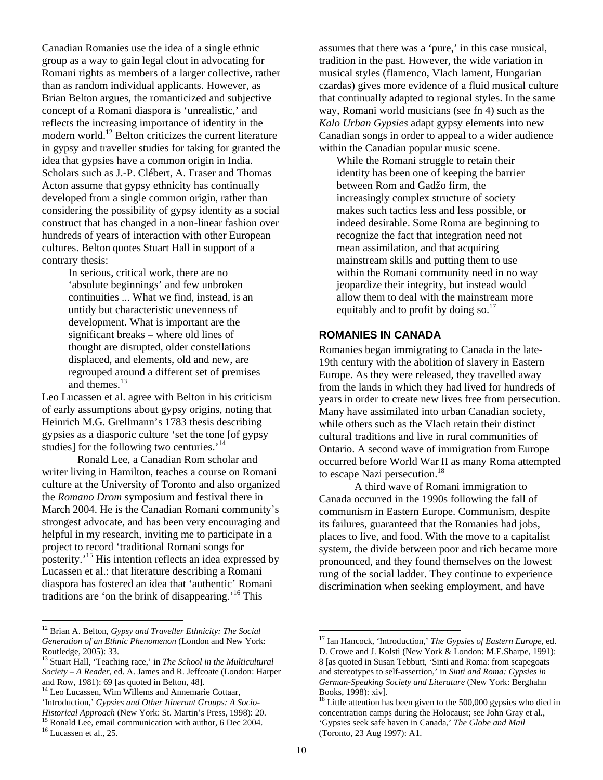Canadian Romanies use the idea of a single ethnic group as a way to gain legal clout in advocating for Romani rights as members of a larger collective, rather than as random individual applicants. However, as Brian Belton argues, the romanticized and subjective concept of a Romani diaspora is 'unrealistic,' and reflects the increasing importance of identity in the modern world.<sup>12</sup> Belton criticizes the current literature in gypsy and traveller studies for taking for granted the idea that gypsies have a common origin in India. Scholars such as J.-P. Clébert, A. Fraser and Thomas Acton assume that gypsy ethnicity has continually developed from a single common origin, rather than considering the possibility of gypsy identity as a social construct that has changed in a non-linear fashion over hundreds of years of interaction with other European cultures. Belton quotes Stuart Hall in support of a contrary thesis:

> In serious, critical work, there are no 'absolute beginnings' and few unbroken continuities ... What we find, instead, is an untidy but characteristic unevenness of development. What is important are the significant breaks – where old lines of thought are disrupted, older constellations displaced, and elements, old and new, are regrouped around a different set of premises and themes.<sup>13</sup>

Leo Lucassen et al. agree with Belton in his criticism of early assumptions about gypsy origins, noting that Heinrich M.G. Grellmann's 1783 thesis describing gypsies as a diasporic culture 'set the tone [of gypsy studies] for the following two centuries.<sup>'14</sup>

Ronald Lee, a Canadian Rom scholar and writer living in Hamilton, teaches a course on Romani culture at the University of Toronto and also organized the *Romano Drom* symposium and festival there in March 2004. He is the Canadian Romani community's strongest advocate, and has been very encouraging and helpful in my research, inviting me to participate in a project to record 'traditional Romani songs for posterity.'15 His intention reflects an idea expressed by Lucassen et al.: that literature describing a Romani diaspora has fostered an idea that 'authentic' Romani traditions are 'on the brink of disappearing.' 16 This

assumes that there was a 'pure,' in this case musical, tradition in the past. However, the wide variation in musical styles (flamenco, Vlach lament, Hungarian czardas) gives more evidence of a fluid musical culture that continually adapted to regional styles. In the same way, Romani world musicians (see fn 4) such as the *Kalo Urban Gypsies* adapt gypsy elements into new Canadian songs in order to appeal to a wider audience within the Canadian popular music scene.

While the Romani struggle to retain their identity has been one of keeping the barrier between Rom and Gadžo firm, the increasingly complex structure of society makes such tactics less and less possible, or indeed desirable. Some Roma are beginning to recognize the fact that integration need not mean assimilation, and that acquiring mainstream skills and putting them to use within the Romani community need in no way jeopardize their integrity, but instead would allow them to deal with the mainstream more equitably and to profit by doing so. $^{17}$ 

#### **ROMANIES IN CANADA**

Romanies began immigrating to Canada in the late-19th century with the abolition of slavery in Eastern Europe. As they were released, they travelled away from the lands in which they had lived for hundreds of years in order to create new lives free from persecution. Many have assimilated into urban Canadian society, while others such as the Vlach retain their distinct cultural traditions and live in rural communities of Ontario. A second wave of immigration from Europe occurred before World War II as many Roma attempted to escape Nazi persecution.<sup>18</sup>

A third wave of Romani immigration to Canada occurred in the 1990s following the fall of communism in Eastern Europe. Communism, despite its failures, guaranteed that the Romanies had jobs, places to live, and food. With the move to a capitalist system, the divide between poor and rich became more pronounced, and they found themselves on the lowest rung of the social ladder. They continue to experience discrimination when seeking employment, and have

 <sup>12</sup> Brian A. Belton, *Gypsy and Traveller Ethnicity: The Social Generation of an Ethnic Phenomenon* (London and New York:

<sup>&</sup>lt;sup>13</sup> Stuart Hall, 'Teaching race,' in *The School in the Multicultural Society – A Reader*, ed. A. James and R. Jeffcoate (London: Harper

<sup>&</sup>lt;sup>14</sup> Leo Lucassen, Wim Willems and Annemarie Cottaar,

<sup>&#</sup>x27;Introduction,' *Gypsies and Other Itinerant Groups: A Socio-*

<sup>&</sup>lt;sup>15</sup> Ronald Lee, email communication with author, 6 Dec 2004.<br><sup>16</sup> Lucassen et al., 25.

<sup>17</sup> Ian Hancock, 'Introduction,' *The Gypsies of Eastern Europe,* ed. D. Crowe and J. Kolsti (New York & London: M.E.Sharpe, 1991): 8 [as quoted in Susan Tebbutt, 'Sinti and Roma: from scapegoats and stereotypes to self-assertion,' in *Sinti and Roma: Gypsies in German-Speaking Society and Literature* (New York: Berghahn Books, 1998): xiv].<br><sup>18</sup> Little attention has been given to the 500,000 gypsies who died in

concentration camps during the Holocaust; see John Gray et al., 'Gypsies seek safe haven in Canada,' *The Globe and Mail* (Toronto, 23 Aug 1997): A1.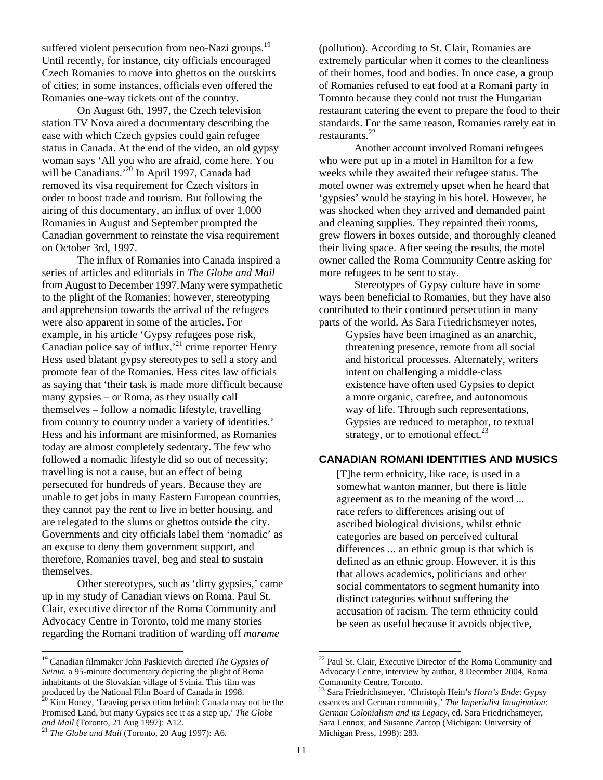suffered violent persecution from neo-Nazi groups.<sup>19</sup> Until recently, for instance, city officials encouraged Czech Romanies to move into ghettos on the outskirts of cities; in some instances, officials even offered the Romanies one-way tickets out of the country.

On August 6th, 1997, the Czech television station TV Nova aired a documentary describing the ease with which Czech gypsies could gain refugee status in Canada. At the end of the video, an old gypsy woman says 'All you who are afraid, come here. You will be Canadians.<sup>20</sup> In April 1997, Canada had removed its visa requirement for Czech visitors in order to boost trade and tourism. But following the airing of this documentary, an influx of over 1,000 Romanies in August and September prompted the Canadian government to reinstate the visa requirement on October 3rd, 1997.

The influx of Romanies into Canada inspired a series of articles and editorials in *The Globe and Mail* from August to December 1997.Many were sympathetic to the plight of the Romanies; however, stereotyping and apprehension towards the arrival of the refugees were also apparent in some of the articles. For example, in his article 'Gypsy refugees pose risk, Canadian police say of influx,<sup>21</sup> crime reporter Henry Hess used blatant gypsy stereotypes to sell a story and promote fear of the Romanies. Hess cites law officials as saying that 'their task is made more difficult because many gypsies – or Roma, as they usually call themselves – follow a nomadic lifestyle, travelling from country to country under a variety of identities.' Hess and his informant are misinformed, as Romanies today are almost completely sedentary. The few who followed a nomadic lifestyle did so out of necessity; travelling is not a cause, but an effect of being persecuted for hundreds of years. Because they are unable to get jobs in many Eastern European countries, they cannot pay the rent to live in better housing, and are relegated to the slums or ghettos outside the city. Governments and city officials label them 'nomadic' as an excuse to deny them government support, and therefore, Romanies travel, beg and steal to sustain themselves.

Other stereotypes, such as 'dirty gypsies,' came up in my study of Canadian views on Roma. Paul St. Clair, executive director of the Roma Community and Advocacy Centre in Toronto, told me many stories regarding the Romani tradition of warding off *marame*

(pollution). According to St. Clair, Romanies are extremely particular when it comes to the cleanliness of their homes, food and bodies. In once case, a group of Romanies refused to eat food at a Romani party in Toronto because they could not trust the Hungarian restaurant catering the event to prepare the food to their standards. For the same reason, Romanies rarely eat in restaurants. $^{22}$ 

Another account involved Romani refugees who were put up in a motel in Hamilton for a few weeks while they awaited their refugee status. The motel owner was extremely upset when he heard that 'gypsies' would be staying in his hotel. However, he was shocked when they arrived and demanded paint and cleaning supplies. They repainted their rooms, grew flowers in boxes outside, and thoroughly cleaned their living space. After seeing the results, the motel owner called the Roma Community Centre asking for more refugees to be sent to stay.

Stereotypes of Gypsy culture have in some ways been beneficial to Romanies, but they have also contributed to their continued persecution in many parts of the world. As Sara Friedrichsmeyer notes,

> Gypsies have been imagined as an anarchic, threatening presence, remote from all social and historical processes. Alternately, writers intent on challenging a middle-class existence have often used Gypsies to depict a more organic, carefree, and autonomous way of life. Through such representations, Gypsies are reduced to metaphor, to textual strategy, or to emotional effect.<sup>23</sup>

## **CANADIAN ROMANI IDENTITIES AND MUSICS**

[T]he term ethnicity, like race, is used in a somewhat wanton manner, but there is little agreement as to the meaning of the word ... race refers to differences arising out of ascribed biological divisions, whilst ethnic categories are based on perceived cultural differences ... an ethnic group is that which is defined as an ethnic group. However, it is this that allows academics, politicians and other social commentators to segment humanity into distinct categories without suffering the accusation of racism. The term ethnicity could be seen as useful because it avoids objective,

 <sup>19</sup> Canadian filmmaker John Paskievich directed *The Gypsies of Svinia,* a 95-minute documentary depicting the plight of Roma inhabitants of the Slovakian village of Svinia. This film was produced by the National Film Board of Canada in 1998.<br><sup>20</sup> Kim Honey, 'Leaving persecution behind: Canada may not be the Promised Land, but many Gypsies see it as a step up,' *The Globe and Mail* (Toronto, 21 Aug 1997): A12.<br><sup>21</sup> *The Globe and Mail* (Toronto, 20 Aug 1997): A6.

<sup>22</sup> Paul St. Clair, Executive Director of the Roma Community and Advocacy Centre, interview by author, 8 December 2004, Roma

<sup>&</sup>lt;sup>23</sup> Sara Friedrichsmeyer, 'Christoph Hein's *Horn's Ende*: Gypsy essences and German community,' *The Imperialist Imagination: German Colonialism and its Legacy*, ed. Sara Friedrichsmeyer, Sara Lennox, and Susanne Zantop (Michigan: University of Michigan Press, 1998): 283.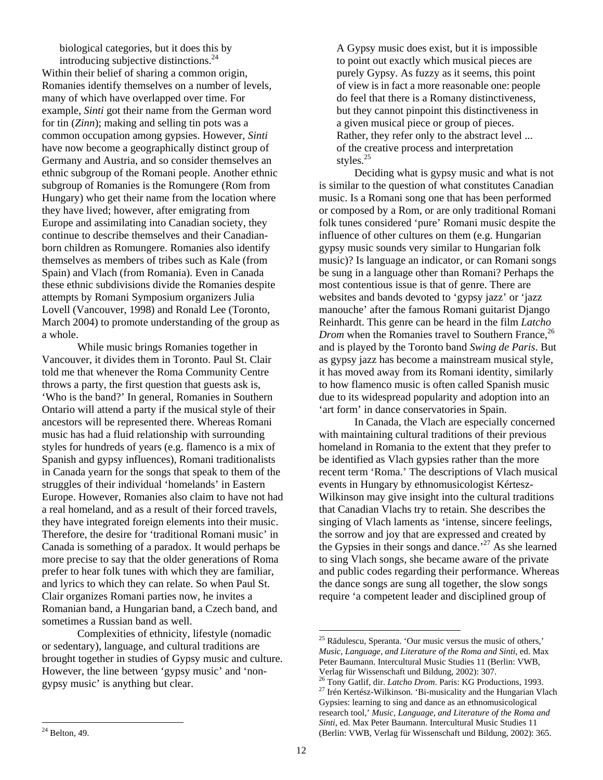biological categories, but it does this by introducing subjective distinctions.<sup>24</sup>

Within their belief of sharing a common origin, Romanies identify themselves on a number of levels, many of which have overlapped over time. For example, *Sinti* got their name from the German word for tin (*Zinn*); making and selling tin pots was a common occupation among gypsies. However, *Sinti* have now become a geographically distinct group of Germany and Austria, and so consider themselves an ethnic subgroup of the Romani people. Another ethnic subgroup of Romanies is the Romungere (Rom from Hungary) who get their name from the location where they have lived; however, after emigrating from Europe and assimilating into Canadian society, they continue to describe themselves and their Canadianborn children as Romungere. Romanies also identify themselves as members of tribes such as Kale (from Spain) and Vlach (from Romania). Even in Canada these ethnic subdivisions divide the Romanies despite attempts by Romani Symposium organizers Julia Lovell (Vancouver, 1998) and Ronald Lee (Toronto, March 2004) to promote understanding of the group as a whole.

While music brings Romanies together in Vancouver, it divides them in Toronto. Paul St. Clair told me that whenever the Roma Community Centre throws a party, the first question that guests ask is, 'Who is the band?' In general, Romanies in Southern Ontario will attend a party if the musical style of their ancestors will be represented there. Whereas Romani music has had a fluid relationship with surrounding styles for hundreds of years (e.g. flamenco is a mix of Spanish and gypsy influences), Romani traditionalists in Canada yearn for the songs that speak to them of the struggles of their individual 'homelands' in Eastern Europe. However, Romanies also claim to have not had a real homeland, and as a result of their forced travels, they have integrated foreign elements into their music. Therefore, the desire for 'traditional Romani music' in Canada is something of a paradox. It would perhaps be more precise to say that the older generations of Roma prefer to hear folk tunes with which they are familiar, and lyrics to which they can relate. So when Paul St. Clair organizes Romani parties now, he invites a Romanian band, a Hungarian band, a Czech band, and sometimes a Russian band as well.

Complexities of ethnicity, lifestyle (nomadic or sedentary), language, and cultural traditions are brought together in studies of Gypsy music and culture. However, the line between 'gypsy music' and 'nongypsy music' is anything but clear.

A Gypsy music does exist, but it is impossible to point out exactly which musical pieces are purely Gypsy. As fuzzy as it seems, this point of view is in fact a more reasonable one: people do feel that there is a Romany distinctiveness, but they cannot pinpoint this distinctiveness in a given musical piece or group of pieces. Rather, they refer only to the abstract level ... of the creative process and interpretation styles.<sup>25</sup>

Deciding what is gypsy music and what is not is similar to the question of what constitutes Canadian music. Is a Romani song one that has been performed or composed by a Rom, or are only traditional Romani folk tunes considered 'pure' Romani music despite the influence of other cultures on them (e.g. Hungarian gypsy music sounds very similar to Hungarian folk music)? Is language an indicator, or can Romani songs be sung in a language other than Romani? Perhaps the most contentious issue is that of genre. There are websites and bands devoted to 'gypsy jazz' or 'jazz manouche' after the famous Romani guitarist Django Reinhardt. This genre can be heard in the film *Latcho Drom* when the Romanies travel to Southern France,<sup>26</sup> and is played by the Toronto band *Swing de Paris*. But as gypsy jazz has become a mainstream musical style, it has moved away from its Romani identity, similarly to how flamenco music is often called Spanish music due to its widespread popularity and adoption into an 'art form' in dance conservatories in Spain.

In Canada, the Vlach are especially concerned with maintaining cultural traditions of their previous homeland in Romania to the extent that they prefer to be identified as Vlach gypsies rather than the more recent term 'Roma.' The descriptions of Vlach musical events in Hungary by ethnomusicologist Kértesz-Wilkinson may give insight into the cultural traditions that Canadian Vlachs try to retain. She describes the singing of Vlach laments as 'intense, sincere feelings, the sorrow and joy that are expressed and created by the Gypsies in their songs and dance.<sup>27</sup> As she learned to sing Vlach songs, she became aware of the private and public codes regarding their performance. Whereas the dance songs are sung all together, the slow songs require 'a competent leader and disciplined group of

<sup>&</sup>lt;sup>25</sup> Rădulescu, Speranta. 'Our music versus the music of others,' *Music, Language, and Literature of the Roma and Sinti*, ed. Max Peter Baumann. Intercultural Music Studies 11 (Berlin: VWB, Verlag für Wissenschaft und Bildung, 2002): 307.

<sup>&</sup>lt;sup>26</sup> Tony Gatlif, dir. *Latcho Drom*. Paris: KG Productions, 1993. <br><sup>27</sup> Irén Kertész-Wilkinson. 'Bi-musicality and the Hungarian Vlach Gypsies: learning to sing and dance as an ethnomusicological research tool,' *Music, Language, and Literature of the Roma and Sinti*, ed. Max Peter Baumann. Intercultural Music Studies 11 (Berlin: VWB, Verlag für Wissenschaft und Bildung, 2002): 365.

 $\overline{a}$  $24$  Belton, 49.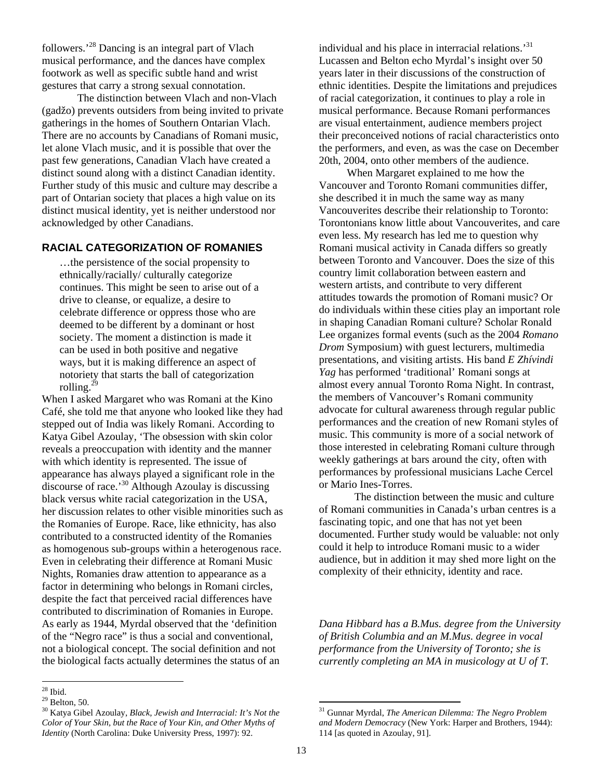followers.<sup>28</sup> Dancing is an integral part of Vlach musical performance, and the dances have complex footwork as well as specific subtle hand and wrist gestures that carry a strong sexual connotation.

The distinction between Vlach and non-Vlach (gadžo) prevents outsiders from being invited to private gatherings in the homes of Southern Ontarian Vlach. There are no accounts by Canadians of Romani music, let alone Vlach music, and it is possible that over the past few generations, Canadian Vlach have created a distinct sound along with a distinct Canadian identity. Further study of this music and culture may describe a part of Ontarian society that places a high value on its distinct musical identity, yet is neither understood nor acknowledged by other Canadians.

## **RACIAL CATEGORIZATION OF ROMANIES**

…the persistence of the social propensity to ethnically/racially/ culturally categorize continues. This might be seen to arise out of a drive to cleanse, or equalize, a desire to celebrate difference or oppress those who are deemed to be different by a dominant or host society. The moment a distinction is made it can be used in both positive and negative ways, but it is making difference an aspect of notoriety that starts the ball of categorization rolling. $^{2}$ 

When I asked Margaret who was Romani at the Kino Café, she told me that anyone who looked like they had stepped out of India was likely Romani. According to Katya Gibel Azoulay, 'The obsession with skin color reveals a preoccupation with identity and the manner with which identity is represented. The issue of appearance has always played a significant role in the discourse of race.'30 Although Azoulay is discussing black versus white racial categorization in the USA, her discussion relates to other visible minorities such as the Romanies of Europe. Race, like ethnicity, has also contributed to a constructed identity of the Romanies as homogenous sub-groups within a heterogenous race. Even in celebrating their difference at Romani Music Nights, Romanies draw attention to appearance as a factor in determining who belongs in Romani circles, despite the fact that perceived racial differences have contributed to discrimination of Romanies in Europe. As early as 1944, Myrdal observed that the 'definition of the "Negro race" is thus a social and conventional, not a biological concept. The social definition and not the biological facts actually determines the status of an

individual and his place in interracial relations.<sup>31</sup> Lucassen and Belton echo Myrdal's insight over 50 years later in their discussions of the construction of ethnic identities. Despite the limitations and prejudices of racial categorization, it continues to play a role in musical performance. Because Romani performances are visual entertainment, audience members project their preconceived notions of racial characteristics onto the performers, and even, as was the case on December 20th, 2004, onto other members of the audience.

When Margaret explained to me how the Vancouver and Toronto Romani communities differ, she described it in much the same way as many Vancouverites describe their relationship to Toronto: Torontonians know little about Vancouverites, and care even less. My research has led me to question why Romani musical activity in Canada differs so greatly between Toronto and Vancouver. Does the size of this country limit collaboration between eastern and western artists, and contribute to very different attitudes towards the promotion of Romani music? Or do individuals within these cities play an important role in shaping Canadian Romani culture? Scholar Ronald Lee organizes formal events (such as the 2004 *Romano Drom* Symposium) with guest lecturers, multimedia presentations, and visiting artists. His band *E Zhívindi Yag* has performed 'traditional' Romani songs at almost every annual Toronto Roma Night. In contrast, the members of Vancouver's Romani community advocate for cultural awareness through regular public performances and the creation of new Romani styles of music. This community is more of a social network of those interested in celebrating Romani culture through weekly gatherings at bars around the city, often with performances by professional musicians Lache Cercel or Mario Ines-Torres.

The distinction between the music and culture of Romani communities in Canada's urban centres is a fascinating topic, and one that has not yet been documented. Further study would be valuable: not only could it help to introduce Romani music to a wider audience, but in addition it may shed more light on the complexity of their ethnicity, identity and race.

*Dana Hibbard has a B.Mus. degree from the University of British Columbia and an M.Mus. degree in vocal performance from the University of Toronto; she is currently completing an MA in musicology at U of T.* 

 $\overline{a}$  $28$  Ibid.

 $29$  Belton, 50.

<sup>30</sup> Katya Gibel Azoulay, *Black, Jewish and Interracial: It's Not the Color of Your Skin, but the Race of Your Kin, and Other Myths of Identity* (North Carolina: Duke University Press, 1997): 92.

<sup>31</sup> Gunnar Myrdal, *The American Dilemma: The Negro Problem and Modern Democracy* (New York: Harper and Brothers, 1944): 114 [as quoted in Azoulay, 91].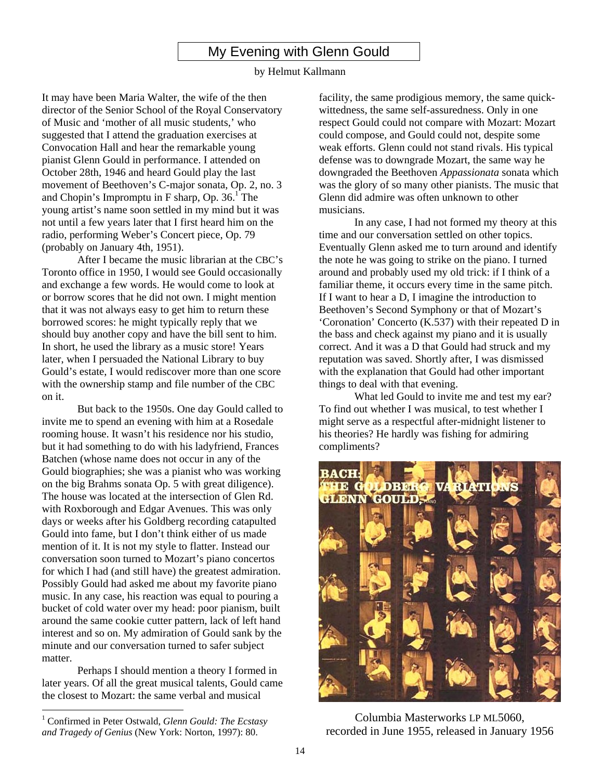My Evening with Glenn Gould

#### by Helmut Kallmann

It may have been Maria Walter, the wife of the then director of the Senior School of the Royal Conservatory of Music and 'mother of all music students,' who suggested that I attend the graduation exercises at Convocation Hall and hear the remarkable young pianist Glenn Gould in performance. I attended on October 28th, 1946 and heard Gould play the last movement of Beethoven's C-major sonata, Op. 2, no. 3 and Chopin's Impromptu in F sharp, Op.  $36.<sup>1</sup>$ The young artist's name soon settled in my mind but it was not until a few years later that I first heard him on the radio, performing Weber's Concert piece, Op. 79 (probably on January 4th, 1951).

After I became the music librarian at the CBC's Toronto office in 1950, I would see Gould occasionally and exchange a few words. He would come to look at or borrow scores that he did not own. I might mention that it was not always easy to get him to return these borrowed scores: he might typically reply that we should buy another copy and have the bill sent to him. In short, he used the library as a music store! Years later, when I persuaded the National Library to buy Gould's estate, I would rediscover more than one score with the ownership stamp and file number of the CBC on it.

But back to the 1950s. One day Gould called to invite me to spend an evening with him at a Rosedale rooming house. It wasn't his residence nor his studio, but it had something to do with his ladyfriend, Frances Batchen (whose name does not occur in any of the Gould biographies; she was a pianist who was working on the big Brahms sonata Op. 5 with great diligence). The house was located at the intersection of Glen Rd. with Roxborough and Edgar Avenues. This was only days or weeks after his Goldberg recording catapulted Gould into fame, but I don't think either of us made mention of it. It is not my style to flatter. Instead our conversation soon turned to Mozart's piano concertos for which I had (and still have) the greatest admiration. Possibly Gould had asked me about my favorite piano music. In any case, his reaction was equal to pouring a bucket of cold water over my head: poor pianism, built around the same cookie cutter pattern, lack of left hand interest and so on. My admiration of Gould sank by the minute and our conversation turned to safer subject matter.

Perhaps I should mention a theory I formed in later years. Of all the great musical talents, Gould came the closest to Mozart: the same verbal and musical

 $\overline{a}$ 

facility, the same prodigious memory, the same quickwittedness, the same self-assuredness. Only in one respect Gould could not compare with Mozart: Mozart could compose, and Gould could not, despite some weak efforts. Glenn could not stand rivals. His typical defense was to downgrade Mozart, the same way he downgraded the Beethoven *Appassionata* sonata which was the glory of so many other pianists. The music that Glenn did admire was often unknown to other musicians.

In any case, I had not formed my theory at this time and our conversation settled on other topics. Eventually Glenn asked me to turn around and identify the note he was going to strike on the piano. I turned around and probably used my old trick: if I think of a familiar theme, it occurs every time in the same pitch. If I want to hear a D, I imagine the introduction to Beethoven's Second Symphony or that of Mozart's 'Coronation' Concerto (K.537) with their repeated D in the bass and check against my piano and it is usually correct. And it was a D that Gould had struck and my reputation was saved. Shortly after, I was dismissed with the explanation that Gould had other important things to deal with that evening.

What led Gould to invite me and test my ear? To find out whether I was musical, to test whether I might serve as a respectful after-midnight listener to his theories? He hardly was fishing for admiring compliments?



Columbia Masterworks LP ML5060, recorded in June 1955, released in January 1956

<sup>&</sup>lt;sup>1</sup> Confirmed in Peter Ostwald, *Glenn Gould: The Ecstasy and Tragedy of Genius* (New York: Norton, 1997): 80.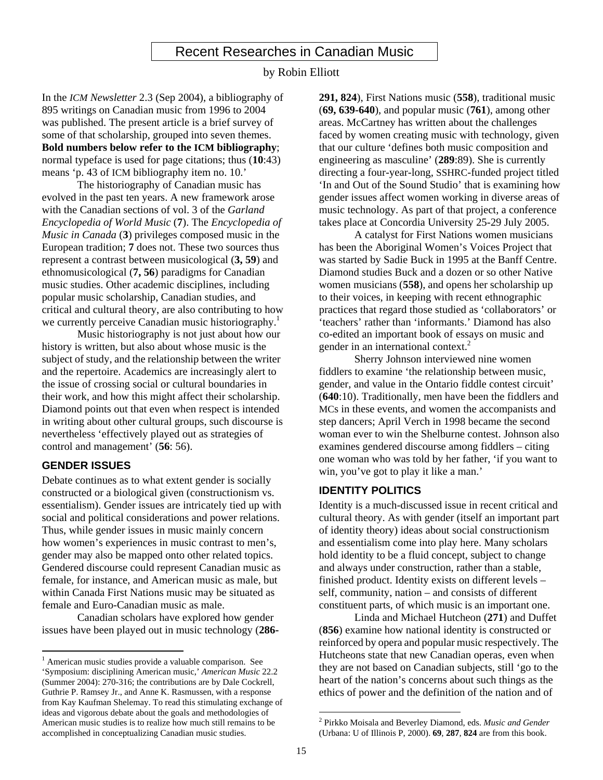## Recent Researches in Canadian Music

#### by Robin Elliott

In the *ICM Newsletter* 2.3 (Sep 2004), a bibliography of 895 writings on Canadian music from 1996 to 2004 was published. The present article is a brief survey of some of that scholarship, grouped into seven themes. **Bold numbers below refer to the ICM bibliography**; normal typeface is used for page citations; thus (**10**:43) means 'p. 43 of ICM bibliography item no. 10.'

The historiography of Canadian music has evolved in the past ten years. A new framework arose with the Canadian sections of vol. 3 of the *Garland Encyclopedia of World Music* (**7**). The *Encyclopedia of Music in Canada* (**3**) privileges composed music in the European tradition; **7** does not. These two sources thus represent a contrast between musicological (**3, 59**) and ethnomusicological (**7, 56**) paradigms for Canadian music studies. Other academic disciplines, including popular music scholarship, Canadian studies, and critical and cultural theory, are also contributing to how we currently perceive Canadian music historiography.<sup>1</sup>

Music historiography is not just about how our history is written, but also about whose music is the subject of study, and the relationship between the writer and the repertoire. Academics are increasingly alert to the issue of crossing social or cultural boundaries in their work, and how this might affect their scholarship. Diamond points out that even when respect is intended in writing about other cultural groups, such discourse is nevertheless 'effectively played out as strategies of control and management' (**56**: 56).

## **GENDER ISSUES**

Debate continues as to what extent gender is socially constructed or a biological given (constructionism vs. essentialism). Gender issues are intricately tied up with social and political considerations and power relations. Thus, while gender issues in music mainly concern how women's experiences in music contrast to men's, gender may also be mapped onto other related topics. Gendered discourse could represent Canadian music as female, for instance, and American music as male, but within Canada First Nations music may be situated as female and Euro-Canadian music as male.

Canadian scholars have explored how gender issues have been played out in music technology (**286-** **291, 824**), First Nations music (**558**), traditional music (**69, 639-640**), and popular music (**761**), among other areas. McCartney has written about the challenges faced by women creating music with technology, given that our culture 'defines both music composition and engineering as masculine' (**289**:89). She is currently directing a four-year-long, SSHRC-funded project titled 'In and Out of the Sound Studio' that is examining how gender issues affect women working in diverse areas of music technology. As part of that project, a conference takes place at Concordia University 25-29 July 2005.

A catalyst for First Nations women musicians has been the Aboriginal Women's Voices Project that was started by Sadie Buck in 1995 at the Banff Centre. Diamond studies Buck and a dozen or so other Native women musicians (**558**), and opens her scholarship up to their voices, in keeping with recent ethnographic practices that regard those studied as 'collaborators' or 'teachers' rather than 'informants.' Diamond has also co-edited an important book of essays on music and gender in an international context.<sup>2</sup>

Sherry Johnson interviewed nine women fiddlers to examine 'the relationship between music, gender, and value in the Ontario fiddle contest circuit' (**640**:10). Traditionally, men have been the fiddlers and MCs in these events, and women the accompanists and step dancers; April Verch in 1998 became the second woman ever to win the Shelburne contest. Johnson also examines gendered discourse among fiddlers – citing one woman who was told by her father, 'if you want to win, you've got to play it like a man.'

## **IDENTITY POLITICS**

Identity is a much-discussed issue in recent critical and cultural theory. As with gender (itself an important part of identity theory) ideas about social constructionism and essentialism come into play here. Many scholars hold identity to be a fluid concept, subject to change and always under construction, rather than a stable, finished product. Identity exists on different levels – self, community, nation – and consists of different constituent parts, of which music is an important one.

Linda and Michael Hutcheon (**271**) and Duffet (**856**) examine how national identity is constructed or reinforced by opera and popular music respectively. The Hutcheons state that new Canadian operas, even when they are not based on Canadian subjects, still 'go to the heart of the nation's concerns about such things as the ethics of power and the definition of the nation and of

 1 American music studies provide a valuable comparison. See 'Symposium: disciplining American music,' *American Music* 22.2 (Summer 2004): 270-316; the contributions are by Dale Cockrell, Guthrie P. Ramsey Jr., and Anne K. Rasmussen, with a response from Kay Kaufman Shelemay. To read this stimulating exchange of ideas and vigorous debate about the goals and methodologies of American music studies is to realize how much still remains to be accomplished in conceptualizing Canadian music studies.

<sup>2</sup> Pirkko Moisala and Beverley Diamond, eds. *Music and Gender* (Urbana: U of Illinois P, 2000). **69**, **287**, **824** are from this book.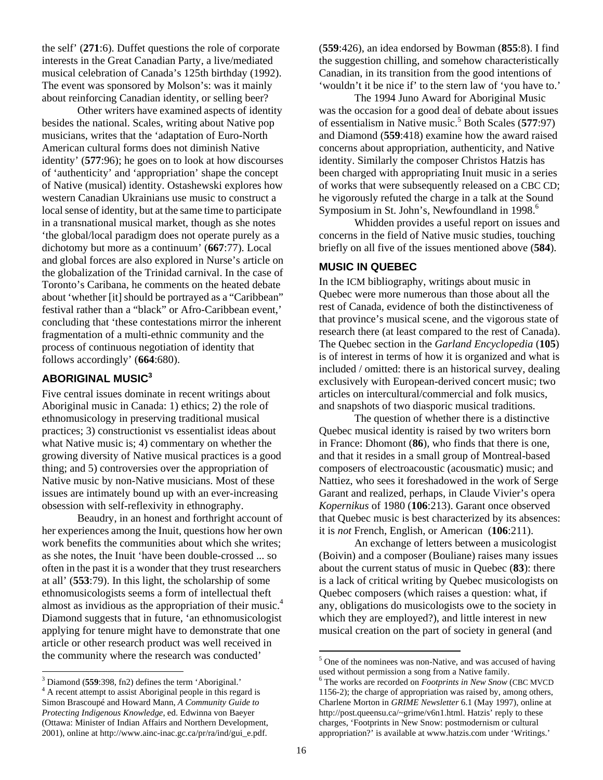the self' (**271**:6). Duffet questions the role of corporate interests in the Great Canadian Party, a live/mediated musical celebration of Canada's 125th birthday (1992). The event was sponsored by Molson's: was it mainly about reinforcing Canadian identity, or selling beer?

 Other writers have examined aspects of identity besides the national. Scales, writing about Native pop musicians, writes that the 'adaptation of Euro-North American cultural forms does not diminish Native identity' (**577**:96); he goes on to look at how discourses of 'authenticity' and 'appropriation' shape the concept of Native (musical) identity. Ostashewski explores how western Canadian Ukrainians use music to construct a local sense of identity, but at the same time to participate in a transnational musical market, though as she notes 'the global/local paradigm does not operate purely as a dichotomy but more as a continuum' (**667**:77). Local and global forces are also explored in Nurse's article on the globalization of the Trinidad carnival. In the case of Toronto's Caribana, he comments on the heated debate about 'whether [it] should be portrayed as a "Caribbean" festival rather than a "black" or Afro-Caribbean event,' concluding that 'these contestations mirror the inherent fragmentation of a multi-ethnic community and the process of continuous negotiation of identity that follows accordingly' (**664**:680).

## **ABORIGINAL MUSIC<sup>3</sup>**

Five central issues dominate in recent writings about Aboriginal music in Canada: 1) ethics; 2) the role of ethnomusicology in preserving traditional musical practices; 3) constructionist vs essentialist ideas about what Native music is; 4) commentary on whether the growing diversity of Native musical practices is a good thing; and 5) controversies over the appropriation of Native music by non-Native musicians. Most of these issues are intimately bound up with an ever-increasing obsession with self-reflexivity in ethnography.

Beaudry, in an honest and forthright account of her experiences among the Inuit, questions how her own work benefits the communities about which she writes; as she notes, the Inuit 'have been double-crossed ... so often in the past it is a wonder that they trust researchers at all' (**553**:79). In this light, the scholarship of some ethnomusicologists seems a form of intellectual theft almost as invidious as the appropriation of their music.4 Diamond suggests that in future, 'an ethnomusicologist applying for tenure might have to demonstrate that one article or other research product was well received in the community where the research was conducted'

 $\overline{a}$ 

(**559**:426), an idea endorsed by Bowman (**855**:8). I find the suggestion chilling, and somehow characteristically Canadian, in its transition from the good intentions of 'wouldn't it be nice if' to the stern law of 'you have to.'

The 1994 Juno Award for Aboriginal Music was the occasion for a good deal of debate about issues of essentialism in Native music.<sup>5</sup> Both Scales (**577**:97) and Diamond (**559**:418) examine how the award raised concerns about appropriation, authenticity, and Native identity. Similarly the composer Christos Hatzis has been charged with appropriating Inuit music in a series of works that were subsequently released on a CBC CD; he vigorously refuted the charge in a talk at the Sound Symposium in St. John's, Newfoundland in 1998. 6

Whidden provides a useful report on issues and concerns in the field of Native music studies, touching briefly on all five of the issues mentioned above (**584**).

## **MUSIC IN QUEBEC**

In the ICM bibliography, writings about music in Quebec were more numerous than those about all the rest of Canada, evidence of both the distinctiveness of that province's musical scene, and the vigorous state of research there (at least compared to the rest of Canada). The Quebec section in the *Garland Encyclopedia* (**105**) is of interest in terms of how it is organized and what is included / omitted: there is an historical survey, dealing exclusively with European-derived concert music; two articles on intercultural/commercial and folk musics, and snapshots of two diasporic musical traditions.

The question of whether there is a distinctive Quebec musical identity is raised by two writers born in France: Dhomont (**86**), who finds that there is one, and that it resides in a small group of Montreal-based composers of electroacoustic (acousmatic) music; and Nattiez, who sees it foreshadowed in the work of Serge Garant and realized, perhaps, in Claude Vivier's opera *Kopernikus* of 1980 (**106**:213). Garant once observed that Quebec music is best characterized by its absences: it is *not* French, English, or American (**106**:211).

An exchange of letters between a musicologist (Boivin) and a composer (Bouliane) raises many issues about the current status of music in Quebec (**83**): there is a lack of critical writing by Quebec musicologists on Quebec composers (which raises a question: what, if any, obligations do musicologists owe to the society in which they are employed?), and little interest in new musical creation on the part of society in general (and

 $\frac{3}{4}$  Diamond (**559**:398, fn2) defines the term 'Aboriginal.'

<sup>&</sup>lt;sup>4</sup> A recent attempt to assist Aboriginal people in this regard is Simon Brascoupé and Howard Mann, *A Community Guide to Protecting Indigenous Knowledge*, ed. Edwinna von Baeyer (Ottawa: Minister of Indian Affairs and Northern Development, 2001), online at http://www.ainc-inac.gc.ca/pr/ra/ind/gui\_e.pdf.

<sup>&</sup>lt;sup>5</sup> One of the nominees was non-Native, and was accused of having used without permission a song from a Native family.

The works are recorded on *Footprints in New Snow* (CBC MVCD 1156-2); the charge of appropriation was raised by, among others, Charlene Morton in *GRIME Newsletter* 6.1 (May 1997), online at http://post.queensu.ca/~grime/v6n1.html. Hatzis' reply to these charges, 'Footprints in New Snow: postmodernism or cultural appropriation?' is available at www.hatzis.com under 'Writings.'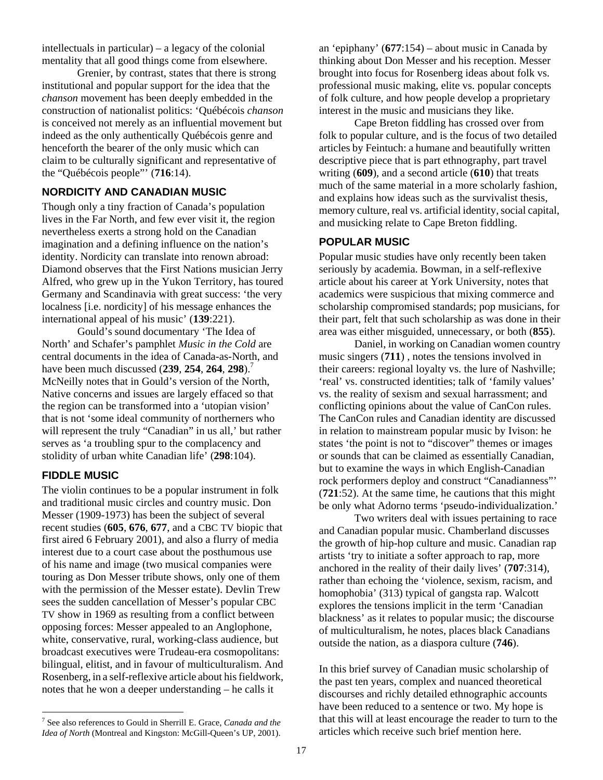intellectuals in particular) – a legacy of the colonial mentality that all good things come from elsewhere.

Grenier, by contrast, states that there is strong institutional and popular support for the idea that the *chanson* movement has been deeply embedded in the construction of nationalist politics: 'Québécois *chanson* is conceived not merely as an influential movement but indeed as the only authentically Québécois genre and henceforth the bearer of the only music which can claim to be culturally significant and representative of the "Québécois people"' (**716**:14).

## **NORDICITY AND CANADIAN MUSIC**

Though only a tiny fraction of Canada's population lives in the Far North, and few ever visit it, the region nevertheless exerts a strong hold on the Canadian imagination and a defining influence on the nation's identity. Nordicity can translate into renown abroad: Diamond observes that the First Nations musician Jerry Alfred, who grew up in the Yukon Territory, has toured Germany and Scandinavia with great success: 'the very localness [i.e. nordicity] of his message enhances the international appeal of his music' (**139**:221).

 Gould's sound documentary 'The Idea of North' and Schafer's pamphlet *Music in the Cold* are central documents in the idea of Canada-as-North, and have been much discussed (**239**, **254**, **264**, **298**).7 McNeilly notes that in Gould's version of the North, Native concerns and issues are largely effaced so that the region can be transformed into a 'utopian vision' that is not 'some ideal community of northerners who will represent the truly "Canadian" in us all,' but rather serves as 'a troubling spur to the complacency and stolidity of urban white Canadian life' (**298**:104).

## **FIDDLE MUSIC**

 $\overline{a}$ 

The violin continues to be a popular instrument in folk and traditional music circles and country music. Don Messer (1909-1973) has been the subject of several recent studies (**605**, **676**, **677**, and a CBC TV biopic that first aired 6 February 2001), and also a flurry of media interest due to a court case about the posthumous use of his name and image (two musical companies were touring as Don Messer tribute shows, only one of them with the permission of the Messer estate). Devlin Trew sees the sudden cancellation of Messer's popular CBC TV show in 1969 as resulting from a conflict between opposing forces: Messer appealed to an Anglophone, white, conservative, rural, working-class audience, but broadcast executives were Trudeau-era cosmopolitans: bilingual, elitist, and in favour of multiculturalism. And Rosenberg, in a self-reflexive article about his fieldwork, notes that he won a deeper understanding – he calls it

7 See also references to Gould in Sherrill E. Grace, *Canada and the Idea of North* (Montreal and Kingston: McGill-Queen's UP, 2001).

an 'epiphany' (**677**:154) – about music in Canada by thinking about Don Messer and his reception. Messer brought into focus for Rosenberg ideas about folk vs. professional music making, elite vs. popular concepts of folk culture, and how people develop a proprietary interest in the music and musicians they like.

Cape Breton fiddling has crossed over from folk to popular culture, and is the focus of two detailed articles by Feintuch: a humane and beautifully written descriptive piece that is part ethnography, part travel writing (**609**), and a second article (**610**) that treats much of the same material in a more scholarly fashion, and explains how ideas such as the survivalist thesis, memory culture, real vs. artificial identity, social capital, and musicking relate to Cape Breton fiddling.

## **POPULAR MUSIC**

Popular music studies have only recently been taken seriously by academia. Bowman, in a self-reflexive article about his career at York University, notes that academics were suspicious that mixing commerce and scholarship compromised standards; pop musicians, for their part, felt that such scholarship as was done in their area was either misguided, unnecessary, or both (**855**).

 Daniel, in working on Canadian women country music singers (**711**) , notes the tensions involved in their careers: regional loyalty vs. the lure of Nashville; 'real' vs. constructed identities; talk of 'family values' vs. the reality of sexism and sexual harrassment; and conflicting opinions about the value of CanCon rules. The CanCon rules and Canadian identity are discussed in relation to mainstream popular music by Ivison: he states 'the point is not to "discover" themes or images or sounds that can be claimed as essentially Canadian, but to examine the ways in which English-Canadian rock performers deploy and construct "Canadianness"' (**721**:52). At the same time, he cautions that this might be only what Adorno terms 'pseudo-individualization.'

Two writers deal with issues pertaining to race and Canadian popular music. Chamberland discusses the growth of hip-hop culture and music. Canadian rap artists 'try to initiate a softer approach to rap, more anchored in the reality of their daily lives' (**707**:314), rather than echoing the 'violence, sexism, racism, and homophobia' (313) typical of gangsta rap. Walcott explores the tensions implicit in the term 'Canadian blackness' as it relates to popular music; the discourse of multiculturalism, he notes, places black Canadians outside the nation, as a diaspora culture (**746**).

In this brief survey of Canadian music scholarship of the past ten years, complex and nuanced theoretical discourses and richly detailed ethnographic accounts have been reduced to a sentence or two. My hope is that this will at least encourage the reader to turn to the articles which receive such brief mention here.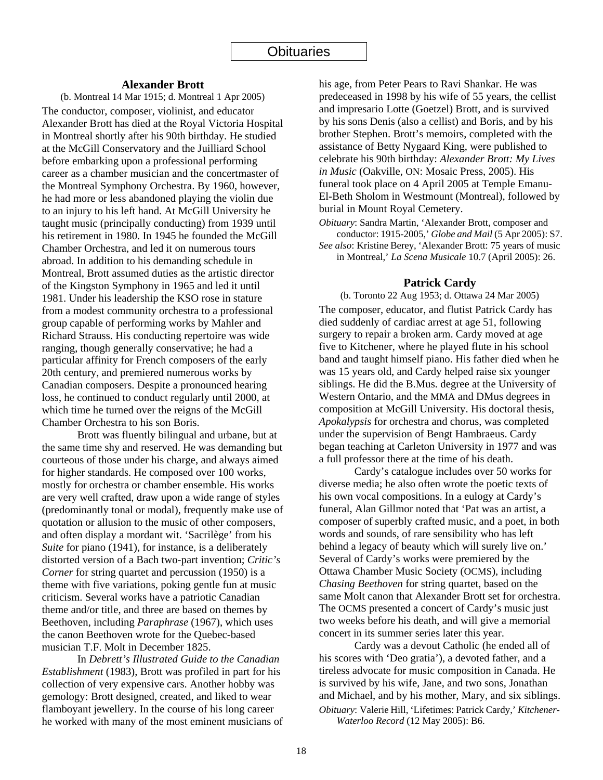#### **Alexander Brott**

(b. Montreal 14 Mar 1915; d. Montreal 1 Apr 2005) The conductor, composer, violinist, and educator Alexander Brott has died at the Royal Victoria Hospital in Montreal shortly after his 90th birthday. He studied at the McGill Conservatory and the Juilliard School before embarking upon a professional performing career as a chamber musician and the concertmaster of the Montreal Symphony Orchestra. By 1960, however, he had more or less abandoned playing the violin due to an injury to his left hand. At McGill University he taught music (principally conducting) from 1939 until his retirement in 1980. In 1945 he founded the McGill Chamber Orchestra, and led it on numerous tours abroad. In addition to his demanding schedule in Montreal, Brott assumed duties as the artistic director of the Kingston Symphony in 1965 and led it until 1981. Under his leadership the KSO rose in stature from a modest community orchestra to a professional group capable of performing works by Mahler and Richard Strauss. His conducting repertoire was wide ranging, though generally conservative; he had a particular affinity for French composers of the early 20th century, and premiered numerous works by Canadian composers. Despite a pronounced hearing loss, he continued to conduct regularly until 2000, at which time he turned over the reigns of the McGill Chamber Orchestra to his son Boris.

Brott was fluently bilingual and urbane, but at the same time shy and reserved. He was demanding but courteous of those under his charge, and always aimed for higher standards. He composed over 100 works, mostly for orchestra or chamber ensemble. His works are very well crafted, draw upon a wide range of styles (predominantly tonal or modal), frequently make use of quotation or allusion to the music of other composers, and often display a mordant wit. 'Sacrilège' from his *Suite* for piano (1941), for instance, is a deliberately distorted version of a Bach two-part invention; *Critic's Corner* for string quartet and percussion (1950) is a theme with five variations, poking gentle fun at music criticism. Several works have a patriotic Canadian theme and/or title, and three are based on themes by Beethoven, including *Paraphrase* (1967), which uses the canon Beethoven wrote for the Quebec-based musician T.F. Molt in December 1825.

In *Debrett's Illustrated Guide to the Canadian Establishment* (1983), Brott was profiled in part for his collection of very expensive cars. Another hobby was gemology: Brott designed, created, and liked to wear flamboyant jewellery. In the course of his long career he worked with many of the most eminent musicians of his age, from Peter Pears to Ravi Shankar. He was predeceased in 1998 by his wife of 55 years, the cellist and impresario Lotte (Goetzel) Brott, and is survived by his sons Denis (also a cellist) and Boris, and by his brother Stephen. Brott's memoirs, completed with the assistance of Betty Nygaard King, were published to celebrate his 90th birthday: *Alexander Brott: My Lives in Music* (Oakville, ON: Mosaic Press, 2005). His funeral took place on 4 April 2005 at Temple Emanu-El-Beth Sholom in Westmount (Montreal), followed by burial in Mount Royal Cemetery.

*Obituary*: Sandra Martin, 'Alexander Brott, composer and conductor: 1915-2005,' *Globe and Mail* (5 Apr 2005): S7.

*See also*: Kristine Berey, 'Alexander Brott: 75 years of music in Montreal,' *La Scena Musicale* 10.7 (April 2005): 26.

#### **Patrick Cardy**

(b. Toronto 22 Aug 1953; d. Ottawa 24 Mar 2005) The composer, educator, and flutist Patrick Cardy has died suddenly of cardiac arrest at age 51, following surgery to repair a broken arm. Cardy moved at age five to Kitchener, where he played flute in his school band and taught himself piano. His father died when he was 15 years old, and Cardy helped raise six younger siblings. He did the B.Mus. degree at the University of Western Ontario, and the MMA and DMus degrees in composition at McGill University. His doctoral thesis, *Apokalypsis* for orchestra and chorus, was completed under the supervision of Bengt Hambraeus. Cardy began teaching at Carleton University in 1977 and was a full professor there at the time of his death.

Cardy's catalogue includes over 50 works for diverse media; he also often wrote the poetic texts of his own vocal compositions. In a eulogy at Cardy's funeral, Alan Gillmor noted that 'Pat was an artist, a composer of superbly crafted music, and a poet, in both words and sounds, of rare sensibility who has left behind a legacy of beauty which will surely live on.' Several of Cardy's works were premiered by the Ottawa Chamber Music Society (OCMS), including *Chasing Beethoven* for string quartet, based on the same Molt canon that Alexander Brott set for orchestra. The OCMS presented a concert of Cardy's music just two weeks before his death, and will give a memorial concert in its summer series later this year.

Cardy was a devout Catholic (he ended all of his scores with 'Deo gratia'), a devoted father, and a tireless advocate for music composition in Canada. He is survived by his wife, Jane, and two sons, Jonathan and Michael, and by his mother, Mary, and six siblings. *Obituary*: Valerie Hill, 'Lifetimes: Patrick Cardy,' *Kitchener-*

*Waterloo Record* (12 May 2005): B6.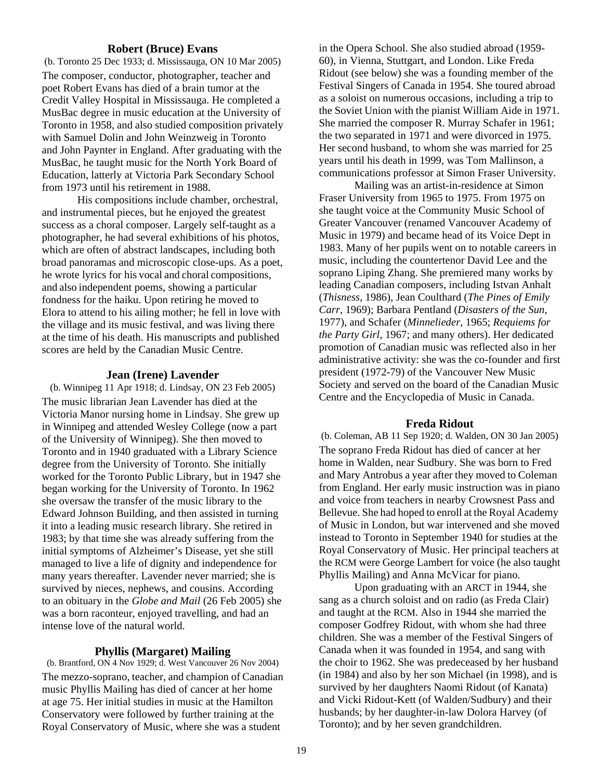#### **Robert (Bruce) Evans**

(b. Toronto 25 Dec 1933; d. Mississauga, ON 10 Mar 2005) The composer, conductor, photographer, teacher and poet Robert Evans has died of a brain tumor at the Credit Valley Hospital in Mississauga. He completed a MusBac degree in music education at the University of Toronto in 1958, and also studied composition privately with Samuel Dolin and John Weinzweig in Toronto and John Paynter in England. After graduating with the MusBac, he taught music for the North York Board of Education, latterly at Victoria Park Secondary School from 1973 until his retirement in 1988.

His compositions include chamber, orchestral, and instrumental pieces, but he enjoyed the greatest success as a choral composer. Largely self-taught as a photographer, he had several exhibitions of his photos, which are often of abstract landscapes, including both broad panoramas and microscopic close-ups. As a poet, he wrote lyrics for his vocal and choral compositions, and also independent poems, showing a particular fondness for the haiku. Upon retiring he moved to Elora to attend to his ailing mother; he fell in love with the village and its music festival, and was living there at the time of his death. His manuscripts and published scores are held by the Canadian Music Centre.

#### **Jean (Irene) Lavender**

(b. Winnipeg 11 Apr 1918; d. Lindsay, ON 23 Feb 2005) The music librarian Jean Lavender has died at the Victoria Manor nursing home in Lindsay. She grew up in Winnipeg and attended Wesley College (now a part of the University of Winnipeg). She then moved to Toronto and in 1940 graduated with a Library Science degree from the University of Toronto. She initially worked for the Toronto Public Library, but in 1947 she began working for the University of Toronto. In 1962 she oversaw the transfer of the music library to the Edward Johnson Building, and then assisted in turning it into a leading music research library. She retired in 1983; by that time she was already suffering from the initial symptoms of Alzheimer's Disease, yet she still managed to live a life of dignity and independence for many years thereafter. Lavender never married; she is survived by nieces, nephews, and cousins. According to an obituary in the *Globe and Mail* (26 Feb 2005) she was a born raconteur, enjoyed travelling, and had an intense love of the natural world.

#### **Phyllis (Margaret) Mailing**

(b. Brantford, ON 4 Nov 1929; d. West Vancouver 26 Nov 2004) The mezzo-soprano, teacher, and champion of Canadian music Phyllis Mailing has died of cancer at her home at age 75. Her initial studies in music at the Hamilton Conservatory were followed by further training at the Royal Conservatory of Music, where she was a student

in the Opera School. She also studied abroad (1959- 60), in Vienna, Stuttgart, and London. Like Freda Ridout (see below) she was a founding member of the Festival Singers of Canada in 1954. She toured abroad as a soloist on numerous occasions, including a trip to the Soviet Union with the pianist William Aide in 1971. She married the composer R. Murray Schafer in 1961; the two separated in 1971 and were divorced in 1975. Her second husband, to whom she was married for 25 years until his death in 1999, was Tom Mallinson, a communications professor at Simon Fraser University.

Mailing was an artist-in-residence at Simon Fraser University from 1965 to 1975. From 1975 on she taught voice at the Community Music School of Greater Vancouver (renamed Vancouver Academy of Music in 1979) and became head of its Voice Dept in 1983. Many of her pupils went on to notable careers in music, including the countertenor David Lee and the soprano Liping Zhang. She premiered many works by leading Canadian composers, including Istvan Anhalt (*Thisness*, 1986), Jean Coulthard (*The Pines of Emily Carr,* 1969); Barbara Pentland (*Disasters of the Sun*, 1977), and Schafer (*Minnelieder*, 1965; *Requiems for the Party Girl*, 1967; and many others). Her dedicated promotion of Canadian music was reflected also in her administrative activity: she was the co-founder and first president (1972-79) of the Vancouver New Music Society and served on the board of the Canadian Music Centre and the Encyclopedia of Music in Canada.

#### **Freda Ridout**

(b. Coleman, AB 11 Sep 1920; d. Walden, ON 30 Jan 2005) The soprano Freda Ridout has died of cancer at her home in Walden, near Sudbury. She was born to Fred and Mary Antrobus a year after they moved to Coleman from England. Her early music instruction was in piano and voice from teachers in nearby Crowsnest Pass and Bellevue. She had hoped to enroll at the Royal Academy of Music in London, but war intervened and she moved instead to Toronto in September 1940 for studies at the Royal Conservatory of Music. Her principal teachers at the RCM were George Lambert for voice (he also taught Phyllis Mailing) and Anna McVicar for piano.

Upon graduating with an ARCT in 1944, she sang as a church soloist and on radio (as Freda Clair) and taught at the RCM. Also in 1944 she married the composer Godfrey Ridout, with whom she had three children. She was a member of the Festival Singers of Canada when it was founded in 1954, and sang with the choir to 1962. She was predeceased by her husband (in 1984) and also by her son Michael (in 1998), and is survived by her daughters Naomi Ridout (of Kanata) and Vicki Ridout-Kett (of Walden/Sudbury) and their husbands; by her daughter-in-law Dolora Harvey (of Toronto); and by her seven grandchildren.